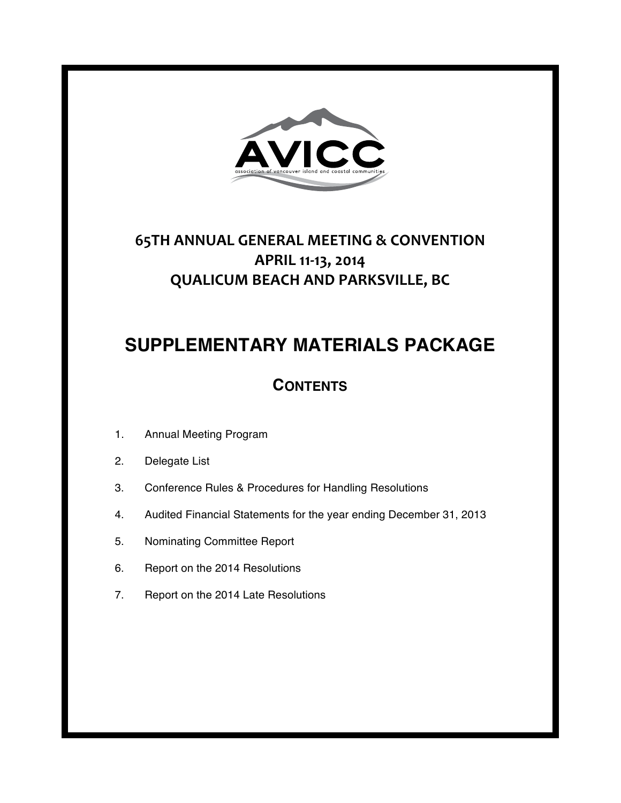

# **65TH ANNUAL GENERAL MEETING & CONVENTION APRIL 11-13, 2014 QUALICUM BEACH AND PARKSVILLE, BC**

# **SUPPLEMENTARY MATERIALS PACKAGE**

# **CONTENTS**

- 1. Annual Meeting Program
- 2. Delegate List
- 3. Conference Rules & Procedures for Handling Resolutions
- 4. Audited Financial Statements for the year ending December 31, 2013
- 5. Nominating Committee Report
- 6. Report on the 2014 Resolutions
- 7. Report on the 2014 Late Resolutions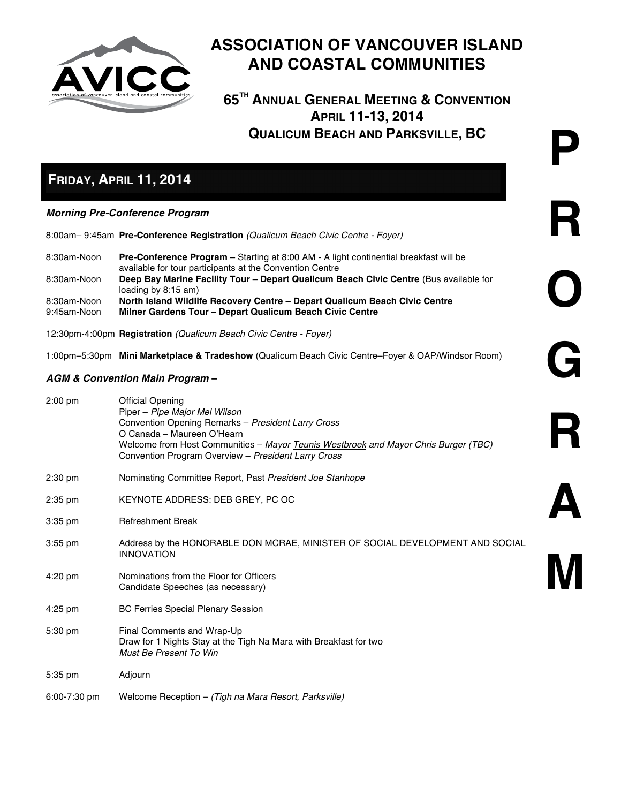

# **65TH ANNUAL GENERAL MEETING & CONVENTION APRIL 11-13, 2014 QUALICUM BEACH AND PARKSVILLE, BC**

**P**

**R**

**O**

**G**

# **FRIDAY, APRIL 11, 2014**

# *Morning Pre-Conference Program*

8:00am– 9:45am **Pre-Conference Registration** *(Qualicum Beach Civic Centre - Foyer)*

8:30am-Noon **Pre-Conference Program –** Starting at 8:00 AM - A light continential breakfast will be available for tour participants at the Convention Centre 8:30am-Noon **Deep Bay Marine Facility Tour – Depart Qualicum Beach Civic Centre** (Bus available for loading by 8:15 am) 8:30am-Noon **North Island Wildlife Recovery Centre – Depart Qualicum Beach Civic Centre**  9:45am-Noon **Milner Gardens Tour – Depart Qualicum Beach Civic Centre**

12:30pm-4:00pm **Registration** *(Qualicum Beach Civic Centre - Foyer)*

1:00pm–5:30pm **Mini Marketplace & Tradeshow** (Qualicum Beach Civic Centre–Foyer & OAP/Windsor Room)

# *AGM & Convention Main Program* **–**

| $2:00$ pm    | <b>Official Opening</b><br>Piper - Pipe Major Mel Wilson<br>Convention Opening Remarks - President Larry Cross<br>O Canada - Maureen O'Hearn<br>Welcome from Host Communities - Mayor Teunis Westbroek and Mayor Chris Burger (TBC)<br>Convention Program Overview - President Larry Cross |  |
|--------------|--------------------------------------------------------------------------------------------------------------------------------------------------------------------------------------------------------------------------------------------------------------------------------------------|--|
| 2:30 pm      | Nominating Committee Report, Past President Joe Stanhope                                                                                                                                                                                                                                   |  |
| $2:35$ pm    | KEYNOTE ADDRESS: DEB GREY, PC OC                                                                                                                                                                                                                                                           |  |
| $3:35$ pm    | <b>Refreshment Break</b>                                                                                                                                                                                                                                                                   |  |
| 3:55 pm      | Address by the HONORABLE DON MCRAE, MINISTER OF SOCIAL DEVELOPMENT AND SOCIAL<br><b>INNOVATION</b>                                                                                                                                                                                         |  |
| 4:20 pm      | Nominations from the Floor for Officers<br>Candidate Speeches (as necessary)                                                                                                                                                                                                               |  |
| $4:25$ pm    | <b>BC Ferries Special Plenary Session</b>                                                                                                                                                                                                                                                  |  |
| 5:30 pm      | Final Comments and Wrap-Up<br>Draw for 1 Nights Stay at the Tigh Na Mara with Breakfast for two<br>Must Be Present To Win                                                                                                                                                                  |  |
| 5:35 pm      | Adjourn                                                                                                                                                                                                                                                                                    |  |
| 6:00-7:30 pm | Welcome Reception – (Tigh na Mara Resort, Parksville)                                                                                                                                                                                                                                      |  |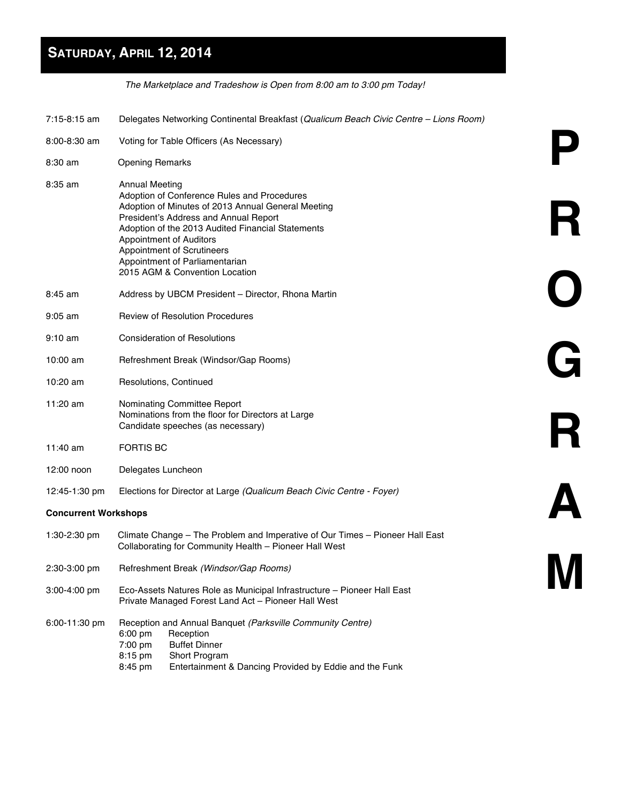# **SATURDAY, APRIL 12, 2014**

*The Marketplace and Tradeshow is Open from 8:00 am to 3:00 pm Today!*

- 7:15-8:15 am Delegates Networking Continental Breakfast (*Qualicum Beach Civic Centre – Lions Room)*
- 8:00-8:30 am Voting for Table Officers (As Necessary)
- 8:30 am Opening Remarks
- 8:35 am Annual Meeting Adoption of Conference Rules and Procedures Adoption of Minutes of 2013 Annual General Meeting President's Address and Annual Report Adoption of the 2013 Audited Financial Statements Appointment of Auditors Appointment of Scrutineers Appointment of Parliamentarian 2015 AGM & Convention Location
- 8:45 am Address by UBCM President Director, Rhona Martin
- 9:05 am Review of Resolution Procedures
- 9:10 am Consideration of Resolutions
- 10:00 am Refreshment Break (Windsor/Gap Rooms)
- 10:20 am Resolutions, Continued
- 11:20 am Nominating Committee Report Nominations from the floor for Directors at Large Candidate speeches (as necessary)
- 11:40 am FORTIS BC
- 12:00 noon Delegates Luncheon
- 12:45-1:30 pm Elections for Director at Large *(Qualicum Beach Civic Centre - Foyer)*

### **Concurrent Workshops**

- 1:30-2:30 pm Climate Change The Problem and Imperative of Our Times Pioneer Hall East Collaborating for Community Health – Pioneer Hall West
- 2:30-3:00 pm Refreshment Break *(Windsor/Gap Rooms)*
- 3:00-4:00 pm Eco-Assets Natures Role as Municipal Infrastructure Pioneer Hall East Private Managed Forest Land Act – Pioneer Hall West
- 6:00-11:30 pm Reception and Annual Banquet *(Parksville Community Centre)* 6:00 pm Reception 7:00 pm Buffet Dinner 8:15 pm Short Program 8:45 pm Entertainment & Dancing Provided by Eddie and the Funk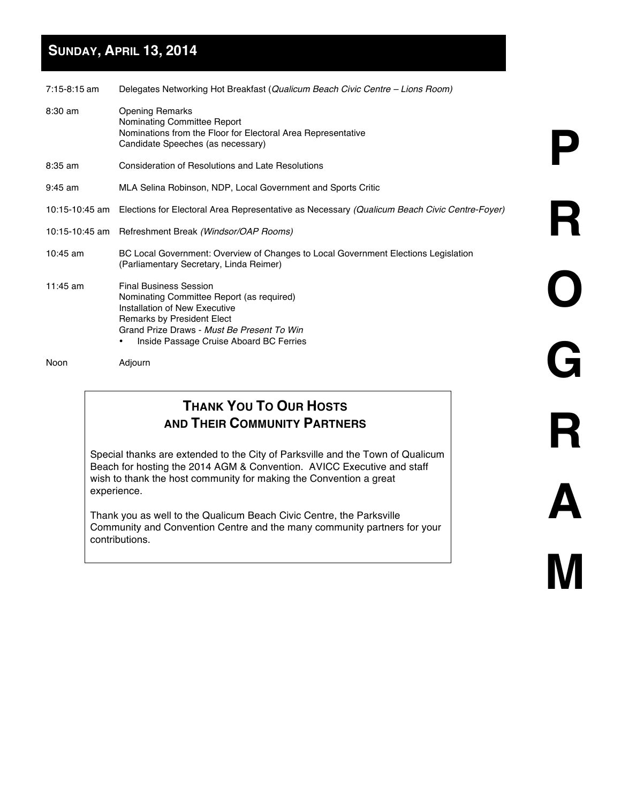# **SUNDAY, APRIL 13, 2014**

| $7:15-8:15$ am | Delegates Networking Hot Breakfast (Qualicum Beach Civic Centre – Lions Room)                                                                                                                                                                  |
|----------------|------------------------------------------------------------------------------------------------------------------------------------------------------------------------------------------------------------------------------------------------|
| 8:30 am        | <b>Opening Remarks</b><br>Nominating Committee Report<br>Nominations from the Floor for Electoral Area Representative<br>Candidate Speeches (as necessary)                                                                                     |
| $8:35$ am      | Consideration of Resolutions and Late Resolutions                                                                                                                                                                                              |
| $9:45$ am      | MLA Selina Robinson, NDP, Local Government and Sports Critic                                                                                                                                                                                   |
|                | 10:15-10:45 am Elections for Electoral Area Representative as Necessary (Qualicum Beach Civic Centre-Foyer)                                                                                                                                    |
|                | 10:15-10:45 am Refreshment Break (Windsor/OAP Rooms)                                                                                                                                                                                           |
| $10:45$ am     | BC Local Government: Overview of Changes to Local Government Elections Legislation<br>(Parliamentary Secretary, Linda Reimer)                                                                                                                  |
| $11:45$ am     | <b>Final Business Session</b><br>Nominating Committee Report (as required)<br>Installation of New Executive<br><b>Remarks by President Elect</b><br>Grand Prize Draws - Must Be Present To Win<br>Inside Passage Cruise Aboard BC Ferries<br>٠ |
| Noon           | Adjourn                                                                                                                                                                                                                                        |

# **THANK YOU TO OUR HOSTS AND THEIR COMMUNITY PARTNERS**

Special thanks are extended to the City of Parksville and the Town of Qualicum Beach for hosting the 2014 AGM & Convention. AVICC Executive and staff wish to thank the host community for making the Convention a great experience.

Thank you as well to the Qualicum Beach Civic Centre, the Parksville Community and Convention Centre and the many community partners for your contributions.

**P R O G R A M**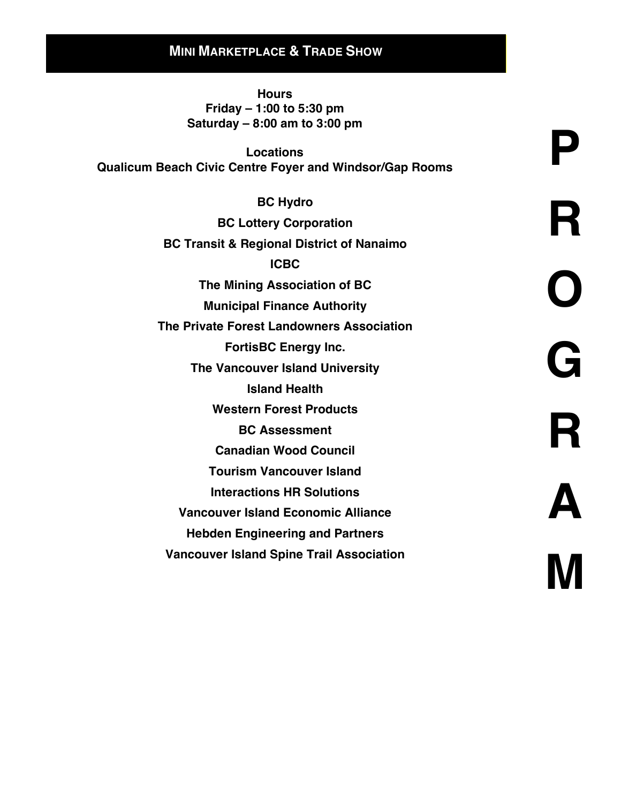# **MINI MARKETPLACE & TRADE SHOW**

**Hours Friday – 1:00 to 5:30 pm Saturday – 8:00 am to 3:00 pm**

**Locations Qualicum Beach Civic Centre Foyer and Windsor/Gap Rooms**

> **BC Hydro BC Lottery Corporation BC Transit & Regional District of Nanaimo ICBC The Mining Association of BC Municipal Finance Authority The Private Forest Landowners Association FortisBC Energy Inc. The Vancouver Island University Island Health Western Forest Products BC Assessment Canadian Wood Council Tourism Vancouver Island Interactions HR Solutions Vancouver Island Economic Alliance Hebden Engineering and Partners Vancouver Island Spine Trail Association**

**P R O G R A M**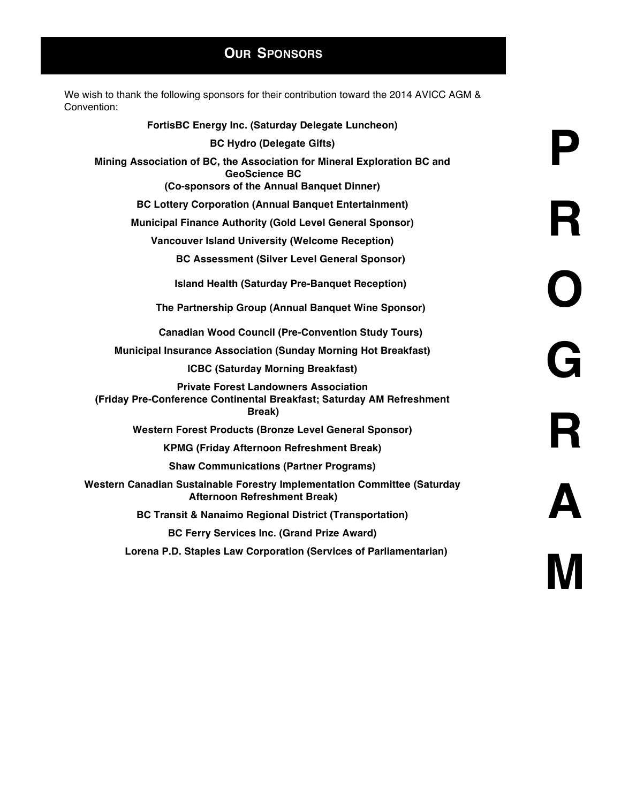# **OUR SPONSORS**

We wish to thank the following sponsors for their contribution toward the 2014 AVICC AGM & Convention:

# **FortisBC Energy Inc. (Saturday Delegate Luncheon)**

**BC Hydro (Delegate Gifts)**

**Mining Association of BC, the Association for Mineral Exploration BC and GeoScience BC (Co-sponsors of the Annual Banquet Dinner)**

**BC Lottery Corporation (Annual Banquet Entertainment)**

**Municipal Finance Authority (Gold Level General Sponsor)**

**Vancouver Island University (Welcome Reception)**

**BC Assessment (Silver Level General Sponsor)**

**Island Health (Saturday Pre-Banquet Reception)**

**The Partnership Group (Annual Banquet Wine Sponsor)**

**Canadian Wood Council (Pre-Convention Study Tours)**

**Municipal Insurance Association (Sunday Morning Hot Breakfast)**

**ICBC (Saturday Morning Breakfast)**

**Private Forest Landowners Association (Friday Pre-Conference Continental Breakfast; Saturday AM Refreshment Break)**

**Western Forest Products (Bronze Level General Sponsor)**

**KPMG (Friday Afternoon Refreshment Break)**

**Shaw Communications (Partner Programs)**

**Western Canadian Sustainable Forestry Implementation Committee (Saturday Afternoon Refreshment Break)**

**BC Transit & Nanaimo Regional District (Transportation)**

**BC Ferry Services Inc. (Grand Prize Award)**

**Lorena P.D. Staples Law Corporation (Services of Parliamentarian)**

**P R O G R A M**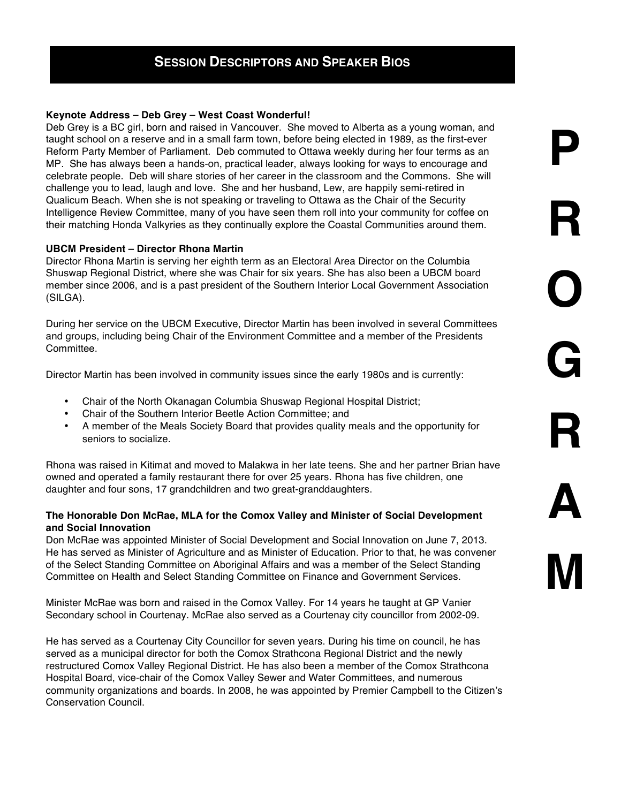# **SESSION DESCRIPTORS AND SPEAKER BIOS**

# **Keynote Address – Deb Grey – West Coast Wonderful!**

Deb Grey is a BC girl, born and raised in Vancouver. She moved to Alberta as a young woman, and taught school on a reserve and in a small farm town, before being elected in 1989, as the first-ever Reform Party Member of Parliament. Deb commuted to Ottawa weekly during her four terms as an MP. She has always been a hands-on, practical leader, always looking for ways to encourage and celebrate people. Deb will share stories of her career in the classroom and the Commons. She will challenge you to lead, laugh and love. She and her husband, Lew, are happily semi-retired in Qualicum Beach. When she is not speaking or traveling to Ottawa as the Chair of the Security Intelligence Review Committee, many of you have seen them roll into your community for coffee on their matching Honda Valkyries as they continually explore the Coastal Communities around them.

# **UBCM President – Director Rhona Martin**

Director Rhona Martin is serving her eighth term as an Electoral Area Director on the Columbia Shuswap Regional District, where she was Chair for six years. She has also been a UBCM board member since 2006, and is a past president of the Southern Interior Local Government Association (SILGA).

During her service on the UBCM Executive, Director Martin has been involved in several Committees and groups, including being Chair of the Environment Committee and a member of the Presidents Committee.

Director Martin has been involved in community issues since the early 1980s and is currently:

- Chair of the North Okanagan Columbia Shuswap Regional Hospital District;
- Chair of the Southern Interior Beetle Action Committee; and
- A member of the Meals Society Board that provides quality meals and the opportunity for seniors to socialize.

Rhona was raised in Kitimat and moved to Malakwa in her late teens. She and her partner Brian have owned and operated a family restaurant there for over 25 years. Rhona has five children, one daughter and four sons, 17 grandchildren and two great-granddaughters.

# **The Honorable Don McRae, MLA for the Comox Valley and Minister of Social Development and Social Innovation**

Don McRae was appointed Minister of Social Development and Social Innovation on June 7, 2013. He has served as Minister of Agriculture and as Minister of Education. Prior to that, he was convener of the Select Standing Committee on Aboriginal Affairs and was a member of the Select Standing Committee on Health and Select Standing Committee on Finance and Government Services.

Minister McRae was born and raised in the Comox Valley. For 14 years he taught at GP Vanier Secondary school in Courtenay. McRae also served as a Courtenay city councillor from 2002-09.

He has served as a Courtenay City Councillor for seven years. During his time on council, he has served as a municipal director for both the Comox Strathcona Regional District and the newly restructured Comox Valley Regional District. He has also been a member of the Comox Strathcona Hospital Board, vice-chair of the Comox Valley Sewer and Water Committees, and numerous community organizations and boards. In 2008, he was appointed by Premier Campbell to the Citizen's Conservation Council.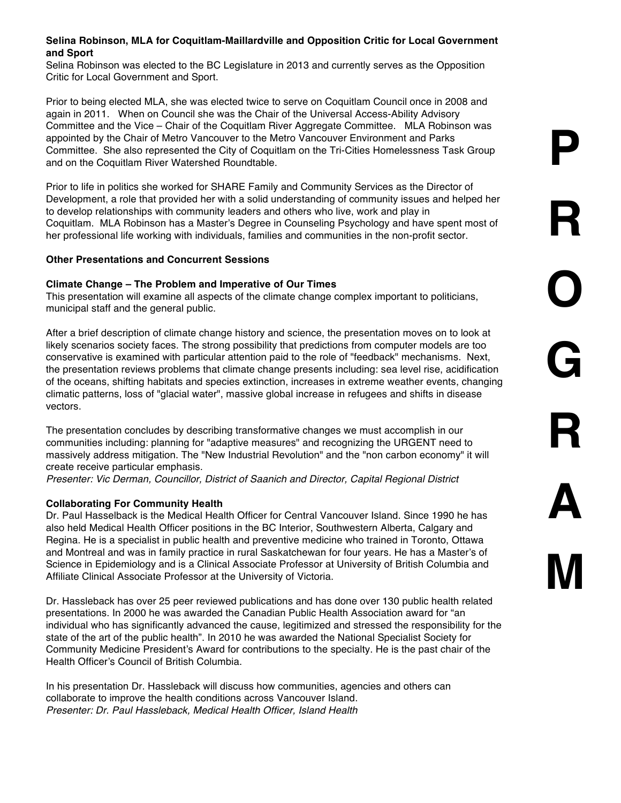# **Selina Robinson, MLA for Coquitlam-Maillardville and Opposition Critic for Local Government and Sport**

Selina Robinson was elected to the BC Legislature in 2013 and currently serves as the Opposition Critic for Local Government and Sport.

Prior to being elected MLA, she was elected twice to serve on Coquitlam Council once in 2008 and again in 2011. When on Council she was the Chair of the Universal Access-Ability Advisory Committee and the Vice – Chair of the Coquitlam River Aggregate Committee. MLA Robinson was appointed by the Chair of Metro Vancouver to the Metro Vancouver Environment and Parks Committee. She also represented the City of Coquitlam on the Tri-Cities Homelessness Task Group and on the Coquitlam River Watershed Roundtable.

Prior to life in politics she worked for SHARE Family and Community Services as the Director of Development, a role that provided her with a solid understanding of community issues and helped her to develop relationships with community leaders and others who live, work and play in Coquitlam. MLA Robinson has a Master's Degree in Counseling Psychology and have spent most of her professional life working with individuals, families and communities in the non-profit sector.

# **Other Presentations and Concurrent Sessions**

# **Climate Change – The Problem and Imperative of Our Times**

This presentation will examine all aspects of the climate change complex important to politicians, municipal staff and the general public.

After a brief description of climate change history and science, the presentation moves on to look at likely scenarios society faces. The strong possibility that predictions from computer models are too conservative is examined with particular attention paid to the role of "feedback" mechanisms. Next, the presentation reviews problems that climate change presents including: sea level rise, acidification of the oceans, shifting habitats and species extinction, increases in extreme weather events, changing climatic patterns, loss of "glacial water", massive global increase in refugees and shifts in disease vectors.

The presentation concludes by describing transformative changes we must accomplish in our communities including: planning for "adaptive measures" and recognizing the URGENT need to massively address mitigation. The "New Industrial Revolution" and the "non carbon economy" it will create receive particular emphasis.

*Presenter: Vic Derman, Councillor, District of Saanich and Director, Capital Regional District*

# **Collaborating For Community Health**

Dr. Paul Hasselback is the Medical Health Officer for Central Vancouver Island. Since 1990 he has also held Medical Health Officer positions in the BC Interior, Southwestern Alberta, Calgary and Regina. He is a specialist in public health and preventive medicine who trained in Toronto, Ottawa and Montreal and was in family practice in rural Saskatchewan for four years. He has a Master's of Science in Epidemiology and is a Clinical Associate Professor at University of British Columbia and Affiliate Clinical Associate Professor at the University of Victoria.

Dr. Hassleback has over 25 peer reviewed publications and has done over 130 public health related presentations. In 2000 he was awarded the Canadian Public Health Association award for "an individual who has significantly advanced the cause, legitimized and stressed the responsibility for the state of the art of the public health". In 2010 he was awarded the National Specialist Society for Community Medicine President's Award for contributions to the specialty. He is the past chair of the Health Officer's Council of British Columbia.

In his presentation Dr. Hassleback will discuss how communities, agencies and others can collaborate to improve the health conditions across Vancouver Island. *Presenter: Dr. Paul Hassleback, Medical Health Officer, Island Health*

**M**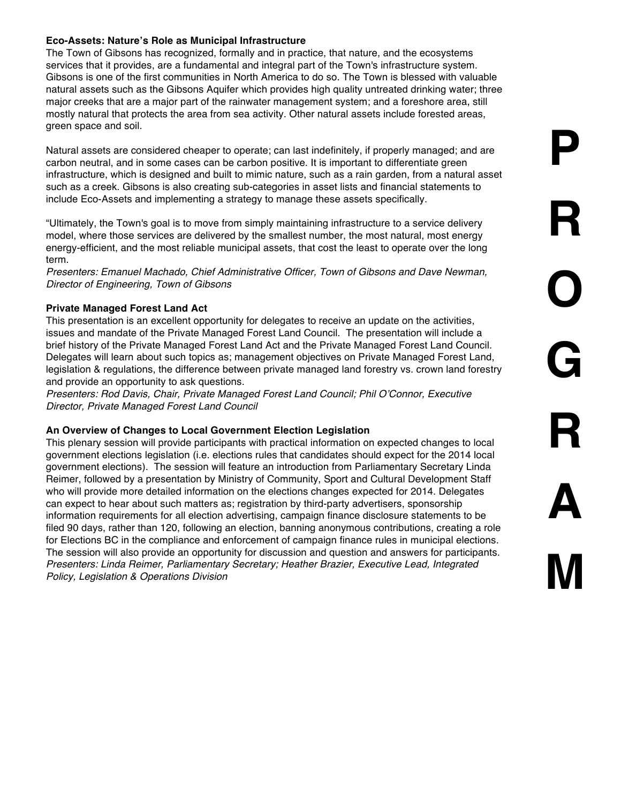# **Eco-Assets: Nature's Role as Municipal Infrastructure**

The Town of Gibsons has recognized, formally and in practice, that nature, and the ecosystems services that it provides, are a fundamental and integral part of the Town's infrastructure system. Gibsons is one of the first communities in North America to do so. The Town is blessed with valuable natural assets such as the Gibsons Aquifer which provides high quality untreated drinking water; three major creeks that are a major part of the rainwater management system; and a foreshore area, still mostly natural that protects the area from sea activity. Other natural assets include forested areas, green space and soil.

Natural assets are considered cheaper to operate; can last indefinitely, if properly managed; and are carbon neutral, and in some cases can be carbon positive. It is important to differentiate green infrastructure, which is designed and built to mimic nature, such as a rain garden, from a natural asset such as a creek. Gibsons is also creating sub-categories in asset lists and financial statements to include Eco-Assets and implementing a strategy to manage these assets specifically.

"Ultimately, the Town's goal is to move from simply maintaining infrastructure to a service delivery model, where those services are delivered by the smallest number, the most natural, most energy energy-efficient, and the most reliable municipal assets, that cost the least to operate over the long term.

*Presenters: Emanuel Machado, Chief Administrative Officer, Town of Gibsons and Dave Newman, Director of Engineering, Town of Gibsons*

# **Private Managed Forest Land Act**

This presentation is an excellent opportunity for delegates to receive an update on the activities, issues and mandate of the Private Managed Forest Land Council. The presentation will include a brief history of the Private Managed Forest Land Act and the Private Managed Forest Land Council. Delegates will learn about such topics as; management objectives on Private Managed Forest Land, legislation & regulations, the difference between private managed land forestry vs. crown land forestry and provide an opportunity to ask questions.

*Presenters: Rod Davis, Chair, Private Managed Forest Land Council; Phil O'Connor, Executive Director, Private Managed Forest Land Council*

# **An Overview of Changes to Local Government Election Legislation**

This plenary session will provide participants with practical information on expected changes to local government elections legislation (i.e. elections rules that candidates should expect for the 2014 local government elections). The session will feature an introduction from Parliamentary Secretary Linda Reimer, followed by a presentation by Ministry of Community, Sport and Cultural Development Staff who will provide more detailed information on the elections changes expected for 2014. Delegates can expect to hear about such matters as; registration by third-party advertisers, sponsorship information requirements for all election advertising, campaign finance disclosure statements to be filed 90 days, rather than 120, following an election, banning anonymous contributions, creating a role for Elections BC in the compliance and enforcement of campaign finance rules in municipal elections. The session will also provide an opportunity for discussion and question and answers for participants. *Presenters: Linda Reimer, Parliamentary Secretary; Heather Brazier, Executive Lead, Integrated Policy, Legislation & Operations Division*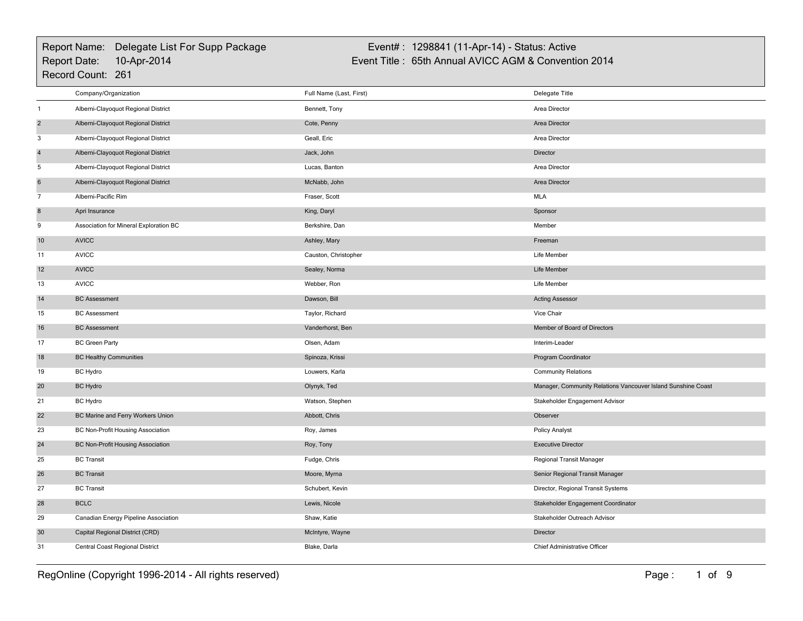|                 | Company/Organization                     | Full Name (Last, First) | Delegate Title                                               |
|-----------------|------------------------------------------|-------------------------|--------------------------------------------------------------|
| $\mathbf{1}$    | Alberni-Clayoquot Regional District      | Bennett, Tony           | Area Director                                                |
| $\overline{2}$  | Alberni-Clayoquot Regional District      | Cote, Penny             | Area Director                                                |
| 3               | Alberni-Clayoquot Regional District      | Geall, Eric             | Area Director                                                |
| $\overline{4}$  | Alberni-Clayoquot Regional District      | Jack, John              | Director                                                     |
| $5\phantom{.0}$ | Alberni-Clayoquot Regional District      | Lucas, Banton           | Area Director                                                |
| 6               | Alberni-Clayoquot Regional District      | McNabb, John            | Area Director                                                |
| $\overline{7}$  | Alberni-Pacific Rim                      | Fraser, Scott           | <b>MLA</b>                                                   |
| 8               | Apri Insurance                           | King, Daryl             | Sponsor                                                      |
| 9               | Association for Mineral Exploration BC   | Berkshire, Dan          | Member                                                       |
| 10              | <b>AVICC</b>                             | Ashley, Mary            | Freeman                                                      |
| 11              | <b>AVICC</b>                             | Causton, Christopher    | Life Member                                                  |
| 12              | <b>AVICC</b>                             | Sealey, Norma           | Life Member                                                  |
| 13              | <b>AVICC</b>                             | Webber, Ron             | Life Member                                                  |
| 14              | <b>BC Assessment</b>                     | Dawson, Bill            | <b>Acting Assessor</b>                                       |
| 15              | <b>BC</b> Assessment                     | Taylor, Richard         | Vice Chair                                                   |
| 16              | <b>BC Assessment</b>                     | Vanderhorst, Ben        | Member of Board of Directors                                 |
| 17              | <b>BC Green Party</b>                    | Olsen, Adam             | Interim-Leader                                               |
| 18              | <b>BC Healthy Communities</b>            | Spinoza, Krissi         | Program Coordinator                                          |
| 19              | <b>BC Hydro</b>                          | Louwers, Karla          | <b>Community Relations</b>                                   |
| 20              | <b>BC Hydro</b>                          | Olynyk, Ted             | Manager, Community Relations Vancouver Island Sunshine Coast |
| 21              | <b>BC Hydro</b>                          | Watson, Stephen         | Stakeholder Engagement Advisor                               |
| 22              | BC Marine and Ferry Workers Union        | Abbott, Chris           | Observer                                                     |
| 23              | BC Non-Profit Housing Association        | Roy, James              | <b>Policy Analyst</b>                                        |
| 24              | <b>BC Non-Profit Housing Association</b> | Roy, Tony               | <b>Executive Director</b>                                    |
| 25              | <b>BC Transit</b>                        | Fudge, Chris            | Regional Transit Manager                                     |
| 26              | <b>BC Transit</b>                        | Moore, Myrna            | Senior Regional Transit Manager                              |
| 27              | <b>BC Transit</b>                        | Schubert, Kevin         | Director, Regional Transit Systems                           |
| 28              | <b>BCLC</b>                              | Lewis, Nicole           | Stakeholder Engagement Coordinator                           |
| 29              | Canadian Energy Pipeline Association     | Shaw, Katie             | Stakeholder Outreach Advisor                                 |
| 30              | Capital Regional District (CRD)          | McIntyre, Wayne         | Director                                                     |
| 31              | Central Coast Regional District          | Blake, Darla            | Chief Administrative Officer                                 |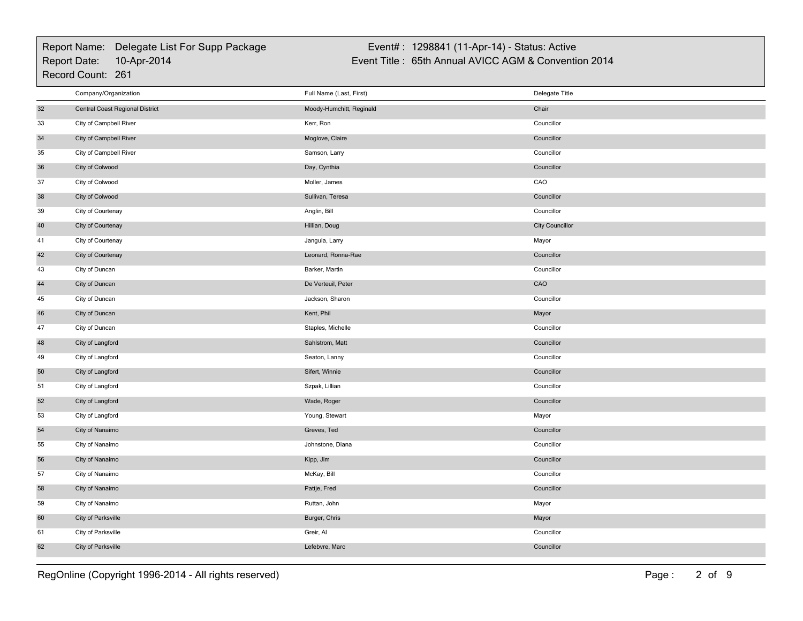|    | Company/Organization            | Full Name (Last, First)  | Delegate Title         |
|----|---------------------------------|--------------------------|------------------------|
| 32 | Central Coast Regional District | Moody-Humchitt, Reginald | Chair                  |
| 33 | City of Campbell River          | Kerr, Ron                | Councillor             |
| 34 | City of Campbell River          | Moglove, Claire          | Councillor             |
| 35 | City of Campbell River          | Samson, Larry            | Councillor             |
| 36 | City of Colwood                 | Day, Cynthia             | Councillor             |
| 37 | City of Colwood                 | Moller, James            | CAO                    |
| 38 | City of Colwood                 | Sullivan, Teresa         | Councillor             |
| 39 | City of Courtenay               | Anglin, Bill             | Councillor             |
| 40 | City of Courtenay               | Hillian, Doug            | <b>City Councillor</b> |
| 41 | City of Courtenay               | Jangula, Larry           | Mayor                  |
| 42 | City of Courtenay               | Leonard, Ronna-Rae       | Councillor             |
| 43 | City of Duncan                  | Barker, Martin           | Councillor             |
| 44 | City of Duncan                  | De Verteuil, Peter       | CAO                    |
| 45 | City of Duncan                  | Jackson, Sharon          | Councillor             |
| 46 | City of Duncan                  | Kent, Phil               | Mayor                  |
| 47 | City of Duncan                  | Staples, Michelle        | Councillor             |
| 48 | City of Langford                | Sahlstrom, Matt          | Councillor             |
| 49 | City of Langford                | Seaton, Lanny            | Councillor             |
| 50 | City of Langford                | Sifert, Winnie           | Councillor             |
| 51 | City of Langford                | Szpak, Lillian           | Councillor             |
| 52 | City of Langford                | Wade, Roger              | Councillor             |
| 53 | City of Langford                | Young, Stewart           | Mayor                  |
| 54 | City of Nanaimo                 | Greves, Ted              | Councillor             |
| 55 | City of Nanaimo                 | Johnstone, Diana         | Councillor             |
| 56 | City of Nanaimo                 | Kipp, Jim                | Councillor             |
| 57 | City of Nanaimo                 | McKay, Bill              | Councillor             |
| 58 | City of Nanaimo                 | Pattje, Fred             | Councillor             |
| 59 | City of Nanaimo                 | Ruttan, John             | Mayor                  |
| 60 | City of Parksville              | Burger, Chris            | Mayor                  |
| 61 | City of Parksville              | Greir, Al                | Councillor             |
| 62 | City of Parksville              | Lefebvre, Marc           | Councillor             |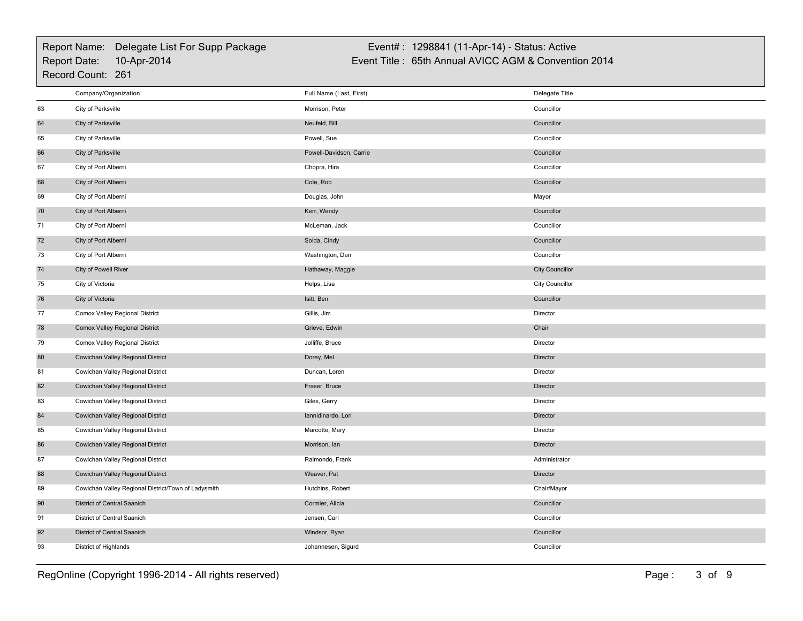|    | Company/Organization                                | Full Name (Last, First) | Delegate Title         |
|----|-----------------------------------------------------|-------------------------|------------------------|
| 63 | City of Parksville                                  | Morrison, Peter         | Councillor             |
| 64 | City of Parksville                                  | Neufeld, Bill           | Councillor             |
| 65 | City of Parksville                                  | Powell, Sue             | Councillor             |
| 66 | City of Parksville                                  | Powell-Davidson, Carrie | Councillor             |
| 67 | City of Port Alberni                                | Chopra, Hira            | Councillor             |
| 68 | City of Port Alberni                                | Cole, Rob               | Councillor             |
| 69 | City of Port Alberni                                | Douglas, John           | Mayor                  |
| 70 | City of Port Alberni                                | Kerr, Wendy             | Councillor             |
| 71 | City of Port Alberni                                | McLeman, Jack           | Councillor             |
| 72 | City of Port Alberni                                | Solda, Cindy            | Councillor             |
| 73 | City of Port Alberni                                | Washington, Dan         | Councillor             |
| 74 | City of Powell River                                | Hathaway, Maggie        | <b>City Councillor</b> |
| 75 | City of Victoria                                    | Helps, Lisa             | <b>City Councillor</b> |
| 76 | City of Victoria                                    | Isitt, Ben              | Councillor             |
| 77 | Comox Valley Regional District                      | Gillis, Jim             | Director               |
| 78 | Comox Valley Regional District                      | Grieve, Edwin           | Chair                  |
| 79 | Comox Valley Regional District                      | Jolliffe, Bruce         | Director               |
| 80 | Cowichan Valley Regional District                   | Dorey, Mel              | Director               |
| 81 | Cowichan Valley Regional District                   | Duncan, Loren           | Director               |
| 82 | Cowichan Valley Regional District                   | Fraser, Bruce           | Director               |
| 83 | Cowichan Valley Regional District                   | Giles, Gerry            | Director               |
| 84 | Cowichan Valley Regional District                   | lannidinardo, Lori      | Director               |
| 85 | Cowichan Valley Regional District                   | Marcotte, Mary          | Director               |
| 86 | Cowichan Valley Regional District                   | Morrison, lan           | Director               |
| 87 | Cowichan Valley Regional District                   | Raimondo, Frank         | Administrator          |
| 88 | Cowichan Valley Regional District                   | Weaver, Pat             | Director               |
| 89 | Cowichan Valley Regional District/Town of Ladysmith | Hutchins, Robert        | Chair/Mayor            |
| 90 | District of Central Saanich                         | Cormier, Alicia         | Councillor             |
| 91 | District of Central Saanich                         | Jensen, Carl            | Councillor             |
| 92 | District of Central Saanich                         | Windsor, Ryan           | Councillor             |
| 93 | District of Highlands                               | Johannesen, Sigurd      | Councillor             |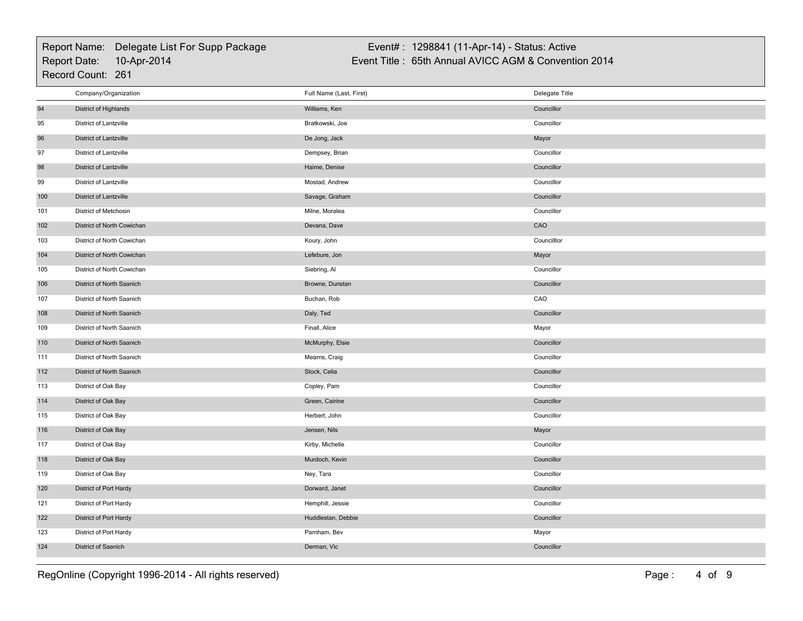|     | Company/Organization          | Full Name (Last, First) | Delegate Title |
|-----|-------------------------------|-------------------------|----------------|
| 94  | <b>District of Highlands</b>  | Williams, Ken           | Councillor     |
| 95  | District of Lantzville        | Bratkowski, Joe         | Councillor     |
| 96  | District of Lantzville        | De Jong, Jack           | Mayor          |
| 97  | District of Lantzville        | Dempsey, Brian          | Councillor     |
| 98  | <b>District of Lantzville</b> | Haime, Denise           | Councillor     |
| 99  | District of Lantzville        | Mostad, Andrew          | Councillor     |
| 100 | <b>District of Lantzville</b> | Savage, Graham          | Councillor     |
| 101 | District of Metchosin         | Milne, Moralea          | Councillor     |
| 102 | District of North Cowichan    | Devana, Dave            | CAO            |
| 103 | District of North Cowichan    | Koury, John             | Councilllor    |
| 104 | District of North Cowichan    | Lefebure, Jon           | Mayor          |
| 105 | District of North Cowichan    | Siebring, Al            | Councillor     |
| 106 | District of North Saanich     | Browne, Dunstan         | Councillor     |
| 107 | District of North Saanich     | Buchan, Rob             | CAO            |
| 108 | District of North Saanich     | Daly, Ted               | Councillor     |
| 109 | District of North Saanich     | Finall, Alice           | Mayor          |
| 110 | District of North Saanich     | McMurphy, Elsie         | Councillor     |
| 111 | District of North Saanich     | Mearns, Craig           | Councillor     |
| 112 | District of North Saanich     | Stock, Celia            | Councillor     |
| 113 | District of Oak Bay           | Copley, Pam             | Councillor     |
| 114 | District of Oak Bay           | Green, Cairine          | Councillor     |
| 115 | District of Oak Bay           | Herbert, John           | Councillor     |
| 116 | District of Oak Bay           | Jensen, Nils            | Mayor          |
| 117 | District of Oak Bay           | Kirby, Michelle         | Councillor     |
| 118 | District of Oak Bay           | Murdoch, Kevin          | Councillor     |
| 119 | District of Oak Bay           | Ney, Tara               | Councillor     |
| 120 | District of Port Hardy        | Dorward, Janet          | Councillor     |
| 121 | District of Port Hardy        | Hemphill, Jessie        | Councillor     |
| 122 | District of Port Hardy        | Huddlestan, Debbie      | Councillor     |
| 123 | District of Port Hardy        | Parnham, Bev            | Mayor          |
| 124 | District of Saanich           | Derman, Vic             | Councillor     |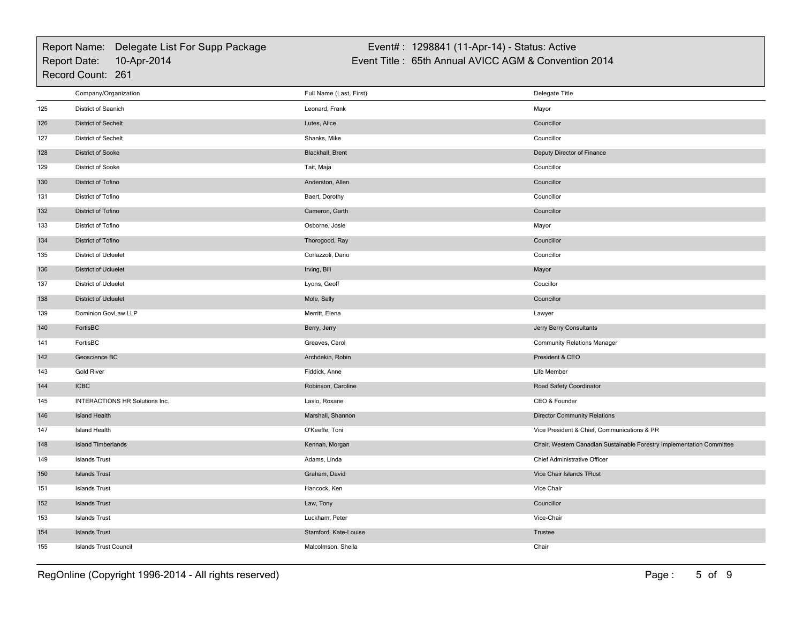|     | Company/Organization           | Full Name (Last, First) | Delegate Title                                                        |  |
|-----|--------------------------------|-------------------------|-----------------------------------------------------------------------|--|
| 125 | District of Saanich            | Leonard, Frank          | Mayor                                                                 |  |
| 126 | District of Sechelt            | Lutes, Alice            | Councillor                                                            |  |
| 127 | <b>District of Sechelt</b>     | Shanks, Mike            | Councillor                                                            |  |
| 128 | <b>District of Sooke</b>       | Blackhall, Brent        | Deputy Director of Finance                                            |  |
| 129 | District of Sooke              | Tait, Maja              | Councillor                                                            |  |
| 130 | <b>District of Tofino</b>      | Anderston, Allen        | Councillor                                                            |  |
| 131 | District of Tofino             | Baert, Dorothy          | Councillor                                                            |  |
| 132 | District of Tofino             | Cameron, Garth          | Councillor                                                            |  |
| 133 | District of Tofino             | Osborne, Josie          | Mayor                                                                 |  |
| 134 | District of Tofino             | Thorogood, Ray          | Councillor                                                            |  |
| 135 | District of Ucluelet           | Corlazzoli, Dario       | Councillor                                                            |  |
| 136 | <b>District of Ucluelet</b>    | Irving, Bill            | Mayor                                                                 |  |
| 137 | District of Ucluelet           | Lyons, Geoff            | Coucillor                                                             |  |
| 138 | <b>District of Ucluelet</b>    | Mole, Sally             | Councillor                                                            |  |
| 139 | Dominion GovLaw LLP            | Merritt, Elena          | Lawyer                                                                |  |
| 140 | FortisBC                       | Berry, Jerry            | Jerry Berry Consultants                                               |  |
| 141 | FortisBC                       | Greaves, Carol          | <b>Community Relations Manager</b>                                    |  |
| 142 | Geoscience BC                  | Archdekin, Robin        | President & CEO                                                       |  |
| 143 | <b>Gold River</b>              | Fiddick, Anne           | Life Member                                                           |  |
| 144 | <b>ICBC</b>                    | Robinson, Caroline      | Road Safety Coordinator                                               |  |
| 145 | INTERACTIONS HR Solutions Inc. | Laslo, Roxane           | CEO & Founder                                                         |  |
| 146 | <b>Island Health</b>           | Marshall, Shannon       | <b>Director Community Relations</b>                                   |  |
| 147 | <b>Island Health</b>           | O'Keeffe, Toni          | Vice President & Chief, Communications & PR                           |  |
| 148 | <b>Island Timberlands</b>      | Kennah, Morgan          | Chair, Western Canadian Sustainable Forestry Implementation Committee |  |
| 149 | <b>Islands Trust</b>           | Adams, Linda            | Chief Administrative Officer                                          |  |
| 150 | <b>Islands Trust</b>           | Graham, David           | Vice Chair Islands TRust                                              |  |
| 151 | <b>Islands Trust</b>           | Hancock, Ken            | Vice Chair                                                            |  |
| 152 | <b>Islands Trust</b>           | Law, Tony               | Councillor                                                            |  |
| 153 | <b>Islands Trust</b>           | Luckham, Peter          | Vice-Chair                                                            |  |
| 154 | <b>Islands Trust</b>           | Stamford, Kate-Louise   | Trustee                                                               |  |
| 155 | <b>Islands Trust Council</b>   | Malcolmson, Sheila      | Chair                                                                 |  |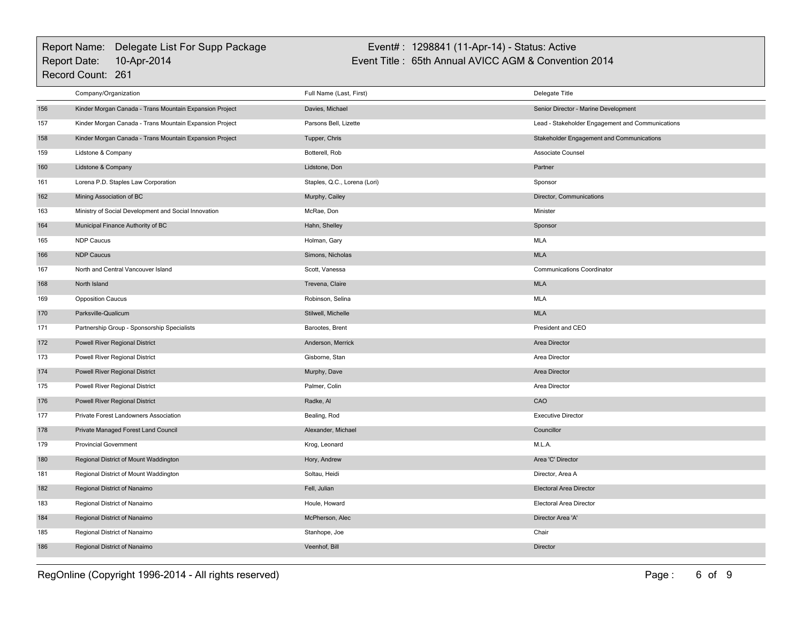|     | Company/Organization                                    | Full Name (Last, First)      | Delegate Title                                   |
|-----|---------------------------------------------------------|------------------------------|--------------------------------------------------|
| 156 | Kinder Morgan Canada - Trans Mountain Expansion Project | Davies, Michael              | Senior Director - Marine Development             |
| 157 | Kinder Morgan Canada - Trans Mountain Expansion Project | Parsons Bell, Lizette        | Lead - Stakeholder Engagement and Communications |
| 158 | Kinder Morgan Canada - Trans Mountain Expansion Project | Tupper, Chris                | Stakeholder Engagement and Communications        |
| 159 | Lidstone & Company                                      | Botterell, Rob               | Associate Counsel                                |
| 160 | Lidstone & Company                                      | Lidstone, Don                | Partner                                          |
| 161 | Lorena P.D. Staples Law Corporation                     | Staples, Q.C., Lorena (Lori) | Sponsor                                          |
| 162 | Mining Association of BC                                | Murphy, Cailey               | Director, Communications                         |
| 163 | Ministry of Social Development and Social Innovation    | McRae, Don                   | Minister                                         |
| 164 | Municipal Finance Authority of BC                       | Hahn, Shelley                | Sponsor                                          |
| 165 | <b>NDP Caucus</b>                                       | Holman, Gary                 | <b>MLA</b>                                       |
| 166 | <b>NDP Caucus</b>                                       | Simons, Nicholas             | <b>MLA</b>                                       |
| 167 | North and Central Vancouver Island                      | Scott, Vanessa               | <b>Communications Coordinator</b>                |
| 168 | North Island                                            | Trevena, Claire              | <b>MLA</b>                                       |
| 169 | <b>Opposition Caucus</b>                                | Robinson, Selina             | <b>MLA</b>                                       |
| 170 | Parksville-Qualicum                                     | Stilwell, Michelle           | <b>MLA</b>                                       |
| 171 | Partnership Group - Sponsorship Specialists             | Barootes, Brent              | President and CEO                                |
| 172 | Powell River Regional District                          | Anderson, Merrick            | Area Director                                    |
| 173 | Powell River Regional District                          | Gisborne, Stan               | Area Director                                    |
| 174 | Powell River Regional District                          | Murphy, Dave                 | Area Director                                    |
| 175 | Powell River Regional District                          | Palmer, Colin                | Area Director                                    |
| 176 | Powell River Regional District                          | Radke, Al                    | CAO                                              |
| 177 | Private Forest Landowners Association                   | Bealing, Rod                 | <b>Executive Director</b>                        |
| 178 | Private Managed Forest Land Council                     | Alexander, Michael           | Councillor                                       |
| 179 | <b>Provincial Government</b>                            | Krog, Leonard                | M.L.A.                                           |
| 180 | Regional District of Mount Waddington                   | Hory, Andrew                 | Area 'C' Director                                |
| 181 | Regional District of Mount Waddington                   | Soltau, Heidi                | Director, Area A                                 |
| 182 | Regional District of Nanaimo                            | Fell, Julian                 | <b>Electoral Area Director</b>                   |
| 183 | Regional District of Nanaimo                            | Houle, Howard                | Electoral Area Director                          |
| 184 | Regional District of Nanaimo                            | McPherson, Alec              | Director Area 'A'                                |
| 185 | Regional District of Nanaimo                            | Stanhope, Joe                | Chair                                            |
| 186 | Regional District of Nanaimo                            | Veenhof, Bill                | Director                                         |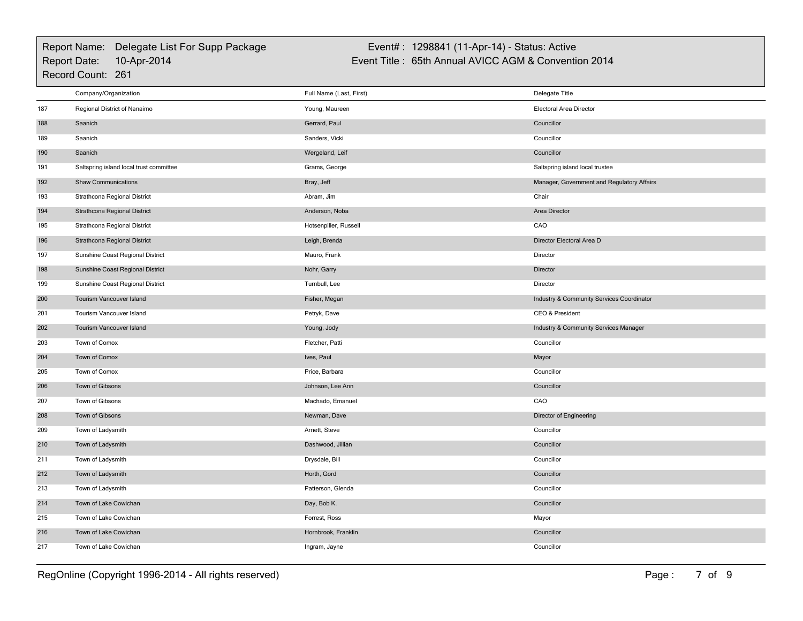|     | Company/Organization                    | Full Name (Last, First) | Delegate Title                             |  |
|-----|-----------------------------------------|-------------------------|--------------------------------------------|--|
| 187 | Regional District of Nanaimo            | Young, Maureen          | <b>Electoral Area Director</b>             |  |
| 188 | Saanich                                 | Gerrard, Paul           | Councillor                                 |  |
| 189 | Saanich                                 | Sanders, Vicki          | Councillor                                 |  |
| 190 | Saanich                                 | Wergeland, Leif         | Councillor                                 |  |
| 191 | Saltspring island local trust committee | Grams, George           | Saltspring island local trustee            |  |
| 192 | Shaw Communications                     | Bray, Jeff              | Manager, Government and Regulatory Affairs |  |
| 193 | Strathcona Regional District            | Abram, Jim              | Chair                                      |  |
| 194 | Strathcona Regional District            | Anderson, Noba          | Area Director                              |  |
| 195 | Strathcona Regional District            | Hotsenpiller, Russell   | CAO                                        |  |
| 196 | Strathcona Regional District            | Leigh, Brenda           | Director Electoral Area D                  |  |
| 197 | Sunshine Coast Regional District        | Mauro, Frank            | Director                                   |  |
| 198 | Sunshine Coast Regional District        | Nohr, Garry             | Director                                   |  |
| 199 | Sunshine Coast Regional District        | Turnbull, Lee           | Director                                   |  |
| 200 | Tourism Vancouver Island                | Fisher, Megan           | Industry & Community Services Coordinator  |  |
| 201 | Tourism Vancouver Island                | Petryk, Dave            | CEO & President                            |  |
| 202 | Tourism Vancouver Island                | Young, Jody             | Industry & Community Services Manager      |  |
| 203 | Town of Comox                           | Fletcher, Patti         | Councillor                                 |  |
| 204 | Town of Comox                           | Ives, Paul              | Mayor                                      |  |
| 205 | Town of Comox                           | Price, Barbara          | Councillor                                 |  |
| 206 | Town of Gibsons                         | Johnson, Lee Ann        | Councillor                                 |  |
| 207 | Town of Gibsons                         | Machado, Emanuel        | CAO                                        |  |
| 208 | Town of Gibsons                         | Newman, Dave            | Director of Engineering                    |  |
| 209 | Town of Ladysmith                       | Arnett, Steve           | Councillor                                 |  |
| 210 | Town of Ladysmith                       | Dashwood, Jillian       | Councillor                                 |  |
| 211 | Town of Ladysmith                       | Drysdale, Bill          | Councillor                                 |  |
| 212 | Town of Ladysmith                       | Horth, Gord             | Councillor                                 |  |
| 213 | Town of Ladysmith                       | Patterson, Glenda       | Councillor                                 |  |
| 214 | Town of Lake Cowichan                   | Day, Bob K.             | Councillor                                 |  |
| 215 | Town of Lake Cowichan                   | Forrest, Ross           | Mayor                                      |  |
| 216 | Town of Lake Cowichan                   | Hornbrook, Franklin     | Councillor                                 |  |
| 217 | Town of Lake Cowichan                   | Ingram, Jayne           | Councillor                                 |  |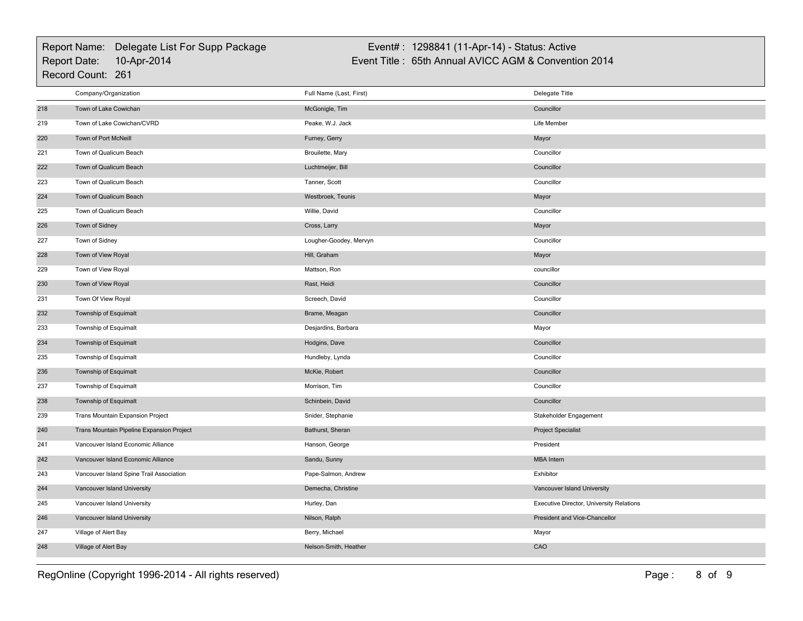|     | Company/Organization                      | Full Name (Last, First) | Delegate Title                           |
|-----|-------------------------------------------|-------------------------|------------------------------------------|
| 218 | Town of Lake Cowichan                     | McGonigle, Tim          | Councillor                               |
| 219 | Town of Lake Cowichan/CVRD                | Peake, W.J. Jack        | Life Member                              |
| 220 | Town of Port McNeill                      | Furney, Gerry           | Mayor                                    |
| 221 | Town of Qualicum Beach                    | Brouilette, Mary        | Councillor                               |
| 222 | Town of Qualicum Beach                    | Luchtmeijer, Bill       | Councillor                               |
| 223 | Town of Qualicum Beach                    | Tanner, Scott           | Councillor                               |
| 224 | Town of Qualicum Beach                    | Westbroek, Teunis       | Mayor                                    |
| 225 | Town of Qualicum Beach                    | Willie, David           | Councillor                               |
| 226 | Town of Sidney                            | Cross, Larry            | Mayor                                    |
| 227 | Town of Sidney                            | Lougher-Goodey, Mervyn  | Councillor                               |
| 228 | Town of View Royal                        | Hill, Graham            | Mayor                                    |
| 229 | Town of View Royal                        | Mattson, Ron            | councillor                               |
| 230 | Town of View Royal                        | Rast, Heidi             | Councillor                               |
| 231 | Town Of View Royal                        | Screech, David          | Councillor                               |
| 232 | Township of Esquimalt                     | Brame, Meagan           | Councillor                               |
| 233 | Township of Esquimalt                     | Desjardins, Barbara     | Mayor                                    |
| 234 | Township of Esquimalt                     | Hodgins, Dave           | Councillor                               |
| 235 | Township of Esquimalt                     | Hundleby, Lynda         | Councillor                               |
| 236 | Township of Esquimalt                     | McKie, Robert           | Councillor                               |
| 237 | Township of Esquimalt                     | Morrison, Tim           | Councillor                               |
| 238 | Township of Esquimalt                     | Schinbein, David        | Councillor                               |
| 239 | Trans Mountain Expansion Project          | Snider, Stephanie       | Stakeholder Engagement                   |
| 240 | Trans Mountain Pipeline Expansion Project | Bathurst, Sheran        | <b>Project Specialist</b>                |
| 241 | Vancouver Island Economic Alliance        | Hanson, George          | President                                |
| 242 | Vancouver Island Economic Alliance        | Sandu, Sunny            | <b>MBA</b> Intern                        |
| 243 | Vancouver Island Spine Trail Association  | Pape-Salmon, Andrew     | Exhibitor                                |
| 244 | Vancouver Island University               | Demecha, Christine      | Vancouver Island University              |
| 245 | Vancouver Island University               | Hurley, Dan             | Executive Director, University Relations |
| 246 | Vancouver Island University               | Nilson, Ralph           | President and Vice-Chancellor            |
| 247 | Village of Alert Bay                      | Berry, Michael          | Mayor                                    |
| 248 | Village of Alert Bay                      | Nelson-Smith, Heather   | CAO                                      |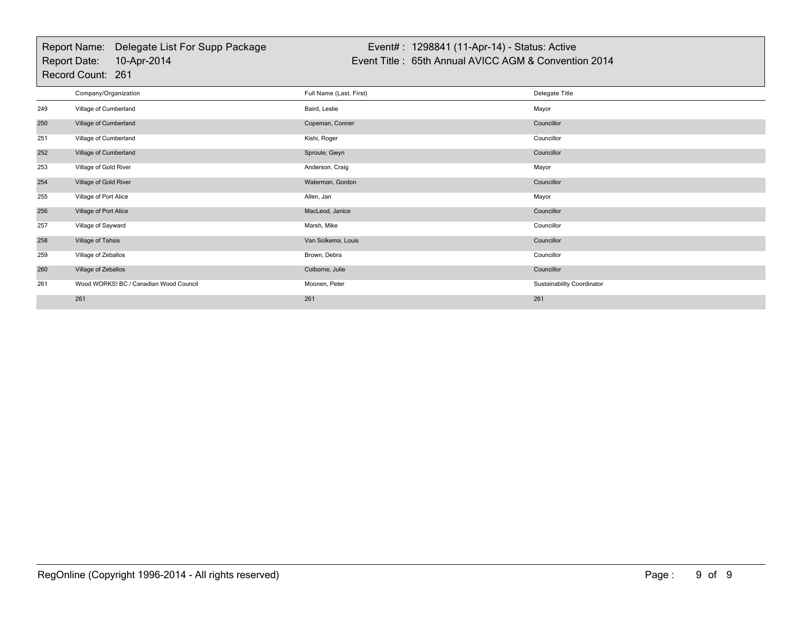|     | Company/Organization                   | Full Name (Last, First) | Delegate Title             |
|-----|----------------------------------------|-------------------------|----------------------------|
| 249 | Village of Cumberland                  | Baird, Leslie           | Mayor                      |
| 250 | Village of Cumberland                  | Copeman, Conner         | Councillor                 |
| 251 | Village of Cumberland                  | Kishi, Roger            | Councillor                 |
| 252 | Village of Cumberland                  | Sproule, Gwyn           | Councillor                 |
| 253 | Village of Gold River                  | Anderson, Craig         | Mayor                      |
| 254 | Village of Gold River                  | Waterman, Gordon        | Councillor                 |
| 255 | Village of Port Alice                  | Allen, Jan              | Mayor                      |
| 256 | Village of Port Alice                  | MacLeod, Janice         | Councillor                 |
| 257 | Village of Sayward                     | Marsh, Mike             | Councillor                 |
| 258 | Village of Tahsis                      | Van Solkema, Louis      | Councillor                 |
| 259 | Village of Zeballos                    | Brown, Debra            | Councillor                 |
| 260 | Village of Zeballos                    | Colborne, Julie         | Councillor                 |
| 261 | Wood WORKS! BC / Canadian Wood Council | Moonen, Peter           | Sustainability Coordinator |
|     | 261                                    | 261                     | 261                        |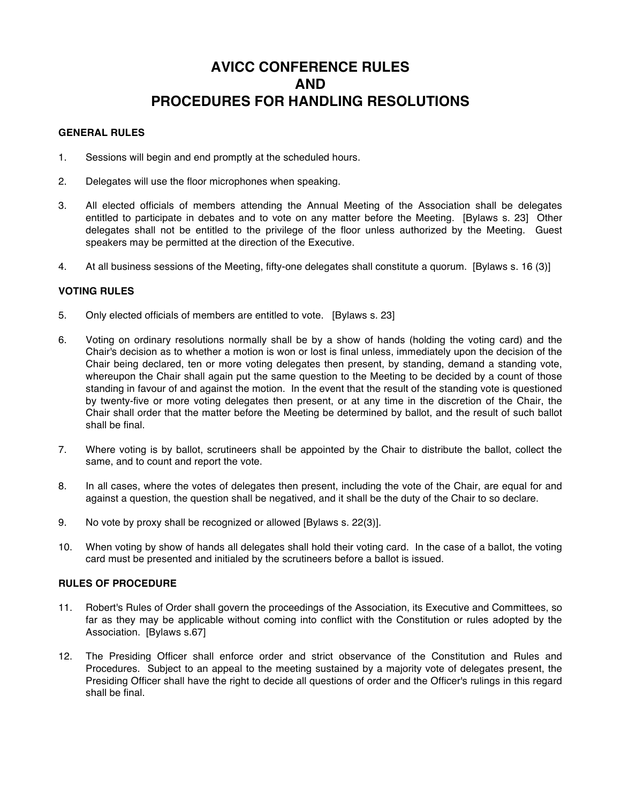# **AVICC CONFERENCE RULES AND PROCEDURES FOR HANDLING RESOLUTIONS**

## **GENERAL RULES**

- 1. Sessions will begin and end promptly at the scheduled hours.
- 2. Delegates will use the floor microphones when speaking.
- 3. All elected officials of members attending the Annual Meeting of the Association shall be delegates entitled to participate in debates and to vote on any matter before the Meeting. [Bylaws s. 23] Other delegates shall not be entitled to the privilege of the floor unless authorized by the Meeting. Guest speakers may be permitted at the direction of the Executive.
- 4. At all business sessions of the Meeting, fifty-one delegates shall constitute a quorum. [Bylaws s. 16 (3)]

# **VOTING RULES**

- 5. Only elected officials of members are entitled to vote. [Bylaws s. 23]
- 6. Voting on ordinary resolutions normally shall be by a show of hands (holding the voting card) and the Chair's decision as to whether a motion is won or lost is final unless, immediately upon the decision of the Chair being declared, ten or more voting delegates then present, by standing, demand a standing vote, whereupon the Chair shall again put the same question to the Meeting to be decided by a count of those standing in favour of and against the motion. In the event that the result of the standing vote is questioned by twenty-five or more voting delegates then present, or at any time in the discretion of the Chair, the Chair shall order that the matter before the Meeting be determined by ballot, and the result of such ballot shall be final.
- 7. Where voting is by ballot, scrutineers shall be appointed by the Chair to distribute the ballot, collect the same, and to count and report the vote.
- 8. In all cases, where the votes of delegates then present, including the vote of the Chair, are equal for and against a question, the question shall be negatived, and it shall be the duty of the Chair to so declare.
- 9. No vote by proxy shall be recognized or allowed [Bylaws s. 22(3)].
- 10. When voting by show of hands all delegates shall hold their voting card. In the case of a ballot, the voting card must be presented and initialed by the scrutineers before a ballot is issued.

# **RULES OF PROCEDURE**

- 11. Robert's Rules of Order shall govern the proceedings of the Association, its Executive and Committees, so far as they may be applicable without coming into conflict with the Constitution or rules adopted by the Association. [Bylaws s.67]
- 12. The Presiding Officer shall enforce order and strict observance of the Constitution and Rules and Procedures. Subject to an appeal to the meeting sustained by a majority vote of delegates present, the Presiding Officer shall have the right to decide all questions of order and the Officer's rulings in this regard shall be final.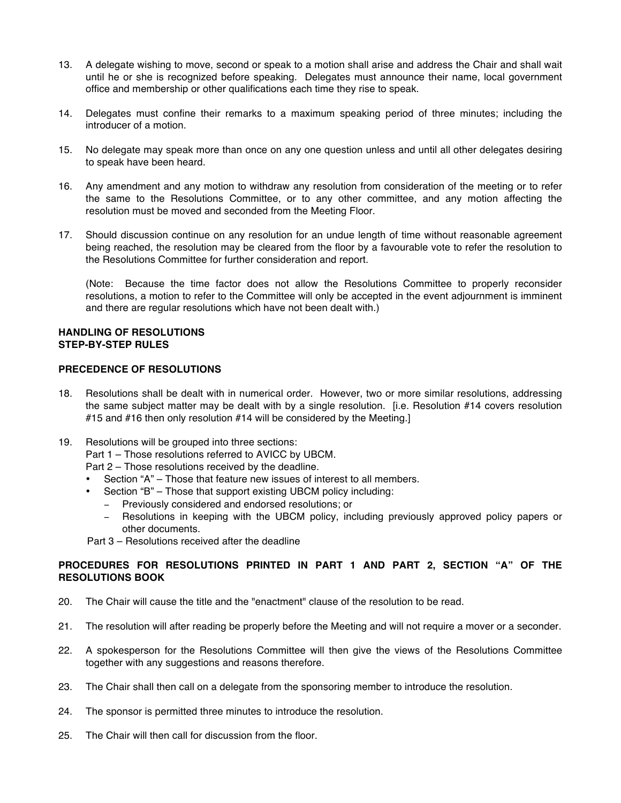- 13. A delegate wishing to move, second or speak to a motion shall arise and address the Chair and shall wait until he or she is recognized before speaking. Delegates must announce their name, local government office and membership or other qualifications each time they rise to speak.
- 14. Delegates must confine their remarks to a maximum speaking period of three minutes; including the introducer of a motion.
- 15. No delegate may speak more than once on any one question unless and until all other delegates desiring to speak have been heard.
- 16. Any amendment and any motion to withdraw any resolution from consideration of the meeting or to refer the same to the Resolutions Committee, or to any other committee, and any motion affecting the resolution must be moved and seconded from the Meeting Floor.
- 17. Should discussion continue on any resolution for an undue length of time without reasonable agreement being reached, the resolution may be cleared from the floor by a favourable vote to refer the resolution to the Resolutions Committee for further consideration and report.

(Note: Because the time factor does not allow the Resolutions Committee to properly reconsider resolutions, a motion to refer to the Committee will only be accepted in the event adjournment is imminent and there are regular resolutions which have not been dealt with.)

## **HANDLING OF RESOLUTIONS STEP-BY-STEP RULES**

# **PRECEDENCE OF RESOLUTIONS**

- 18. Resolutions shall be dealt with in numerical order. However, two or more similar resolutions, addressing the same subject matter may be dealt with by a single resolution. [i.e. Resolution #14 covers resolution #15 and #16 then only resolution #14 will be considered by the Meeting.]
- 19. Resolutions will be grouped into three sections: Part 1 – Those resolutions referred to AVICC by UBCM. Part 2 – Those resolutions received by the deadline.
	- Section "A" Those that feature new issues of interest to all members.
	- Section "B" Those that support existing UBCM policy including:
		- − Previously considered and endorsed resolutions; or
		- − Resolutions in keeping with the UBCM policy, including previously approved policy papers or other documents.
	- Part 3 Resolutions received after the deadline

# **PROCEDURES FOR RESOLUTIONS PRINTED IN PART 1 AND PART 2, SECTION "A" OF THE RESOLUTIONS BOOK**

- 20. The Chair will cause the title and the "enactment" clause of the resolution to be read.
- 21. The resolution will after reading be properly before the Meeting and will not require a mover or a seconder.
- 22. A spokesperson for the Resolutions Committee will then give the views of the Resolutions Committee together with any suggestions and reasons therefore.
- 23. The Chair shall then call on a delegate from the sponsoring member to introduce the resolution.
- 24. The sponsor is permitted three minutes to introduce the resolution.
- 25. The Chair will then call for discussion from the floor.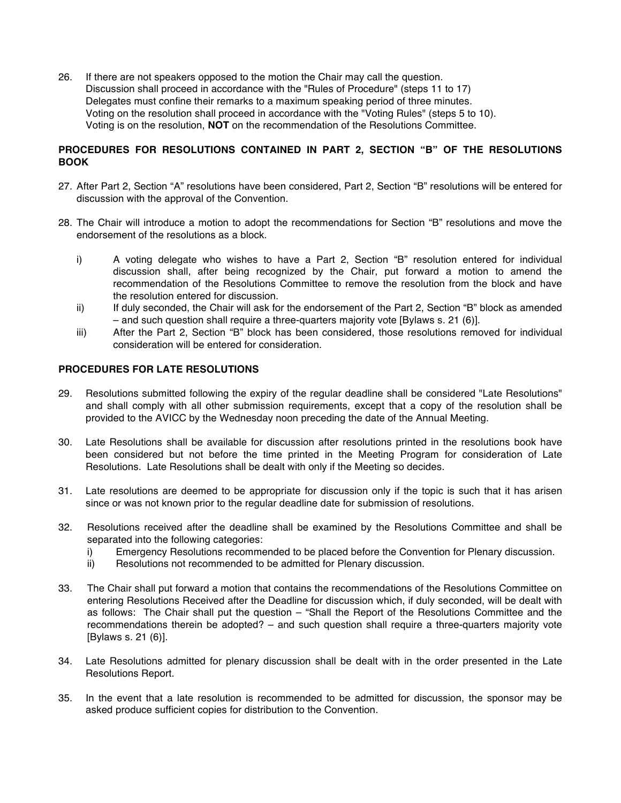26. If there are not speakers opposed to the motion the Chair may call the question. Discussion shall proceed in accordance with the "Rules of Procedure" (steps 11 to 17) Delegates must confine their remarks to a maximum speaking period of three minutes. Voting on the resolution shall proceed in accordance with the "Voting Rules" (steps 5 to 10). Voting is on the resolution, **NOT** on the recommendation of the Resolutions Committee.

# **PROCEDURES FOR RESOLUTIONS CONTAINED IN PART 2, SECTION "B" OF THE RESOLUTIONS BOOK**

- 27. After Part 2, Section "A" resolutions have been considered, Part 2, Section "B" resolutions will be entered for discussion with the approval of the Convention.
- 28. The Chair will introduce a motion to adopt the recommendations for Section "B" resolutions and move the endorsement of the resolutions as a block.
	- i) A voting delegate who wishes to have a Part 2, Section "B" resolution entered for individual discussion shall, after being recognized by the Chair, put forward a motion to amend the recommendation of the Resolutions Committee to remove the resolution from the block and have the resolution entered for discussion.
	- ii) If duly seconded, the Chair will ask for the endorsement of the Part 2, Section "B" block as amended – and such question shall require a three-quarters majority vote [Bylaws s. 21 (6)].
	- iii) After the Part 2, Section "B" block has been considered, those resolutions removed for individual consideration will be entered for consideration.

# **PROCEDURES FOR LATE RESOLUTIONS**

- 29. Resolutions submitted following the expiry of the regular deadline shall be considered "Late Resolutions" and shall comply with all other submission requirements, except that a copy of the resolution shall be provided to the AVICC by the Wednesday noon preceding the date of the Annual Meeting.
- 30. Late Resolutions shall be available for discussion after resolutions printed in the resolutions book have been considered but not before the time printed in the Meeting Program for consideration of Late Resolutions. Late Resolutions shall be dealt with only if the Meeting so decides.
- 31. Late resolutions are deemed to be appropriate for discussion only if the topic is such that it has arisen since or was not known prior to the regular deadline date for submission of resolutions.
- 32. Resolutions received after the deadline shall be examined by the Resolutions Committee and shall be separated into the following categories:
	- i) Emergency Resolutions recommended to be placed before the Convention for Plenary discussion.
	- ii) Resolutions not recommended to be admitted for Plenary discussion.
- 33. The Chair shall put forward a motion that contains the recommendations of the Resolutions Committee on entering Resolutions Received after the Deadline for discussion which, if duly seconded, will be dealt with as follows: The Chair shall put the question – "Shall the Report of the Resolutions Committee and the recommendations therein be adopted? – and such question shall require a three-quarters majority vote [Bylaws s. 21 (6)].
- 34. Late Resolutions admitted for plenary discussion shall be dealt with in the order presented in the Late Resolutions Report.
- 35. In the event that a late resolution is recommended to be admitted for discussion, the sponsor may be asked produce sufficient copies for distribution to the Convention.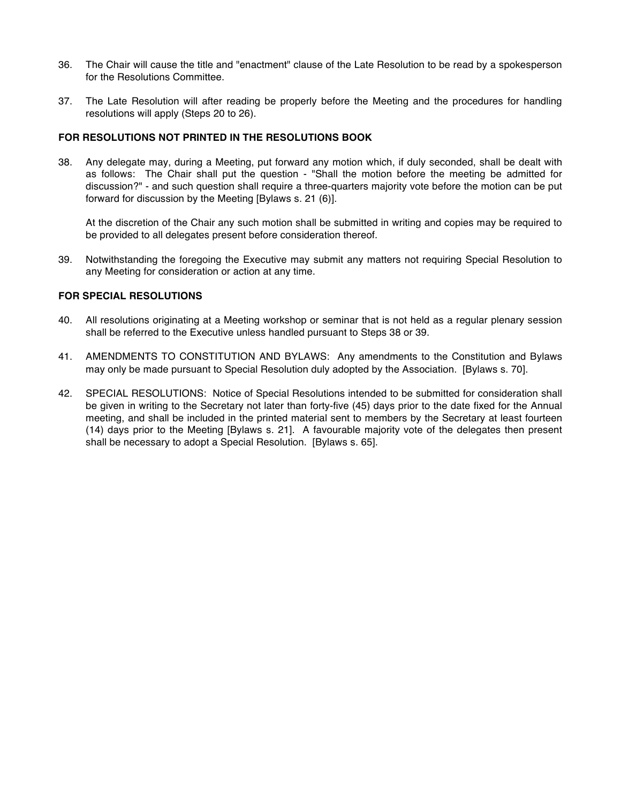- 36. The Chair will cause the title and "enactment" clause of the Late Resolution to be read by a spokesperson for the Resolutions Committee.
- 37. The Late Resolution will after reading be properly before the Meeting and the procedures for handling resolutions will apply (Steps 20 to 26).

# **FOR RESOLUTIONS NOT PRINTED IN THE RESOLUTIONS BOOK**

38. Any delegate may, during a Meeting, put forward any motion which, if duly seconded, shall be dealt with as follows: The Chair shall put the question - "Shall the motion before the meeting be admitted for discussion?" - and such question shall require a three-quarters majority vote before the motion can be put forward for discussion by the Meeting [Bylaws s. 21 (6)].

At the discretion of the Chair any such motion shall be submitted in writing and copies may be required to be provided to all delegates present before consideration thereof.

39. Notwithstanding the foregoing the Executive may submit any matters not requiring Special Resolution to any Meeting for consideration or action at any time.

# **FOR SPECIAL RESOLUTIONS**

- 40. All resolutions originating at a Meeting workshop or seminar that is not held as a regular plenary session shall be referred to the Executive unless handled pursuant to Steps 38 or 39.
- 41. AMENDMENTS TO CONSTITUTION AND BYLAWS: Any amendments to the Constitution and Bylaws may only be made pursuant to Special Resolution duly adopted by the Association. [Bylaws s. 70].
- 42. SPECIAL RESOLUTIONS: Notice of Special Resolutions intended to be submitted for consideration shall be given in writing to the Secretary not later than forty-five (45) days prior to the date fixed for the Annual meeting, and shall be included in the printed material sent to members by the Secretary at least fourteen (14) days prior to the Meeting [Bylaws s. 21]. A favourable majority vote of the delegates then present shall be necessary to adopt a Special Resolution. [Bylaws s. 65].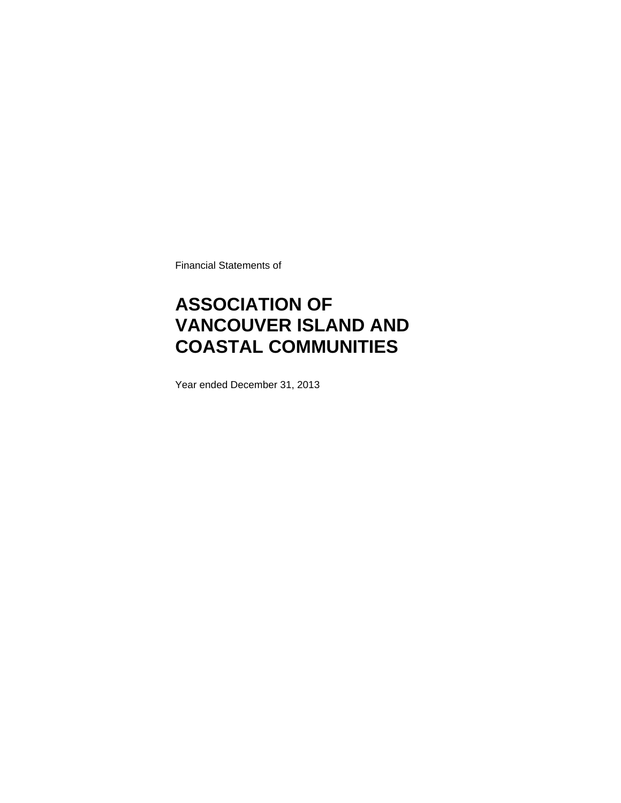Financial Statements of

# **ASSOCIATION OF VANCOUVER ISLAND AND COASTAL COMMUNITIES**

Year ended December 31, 2013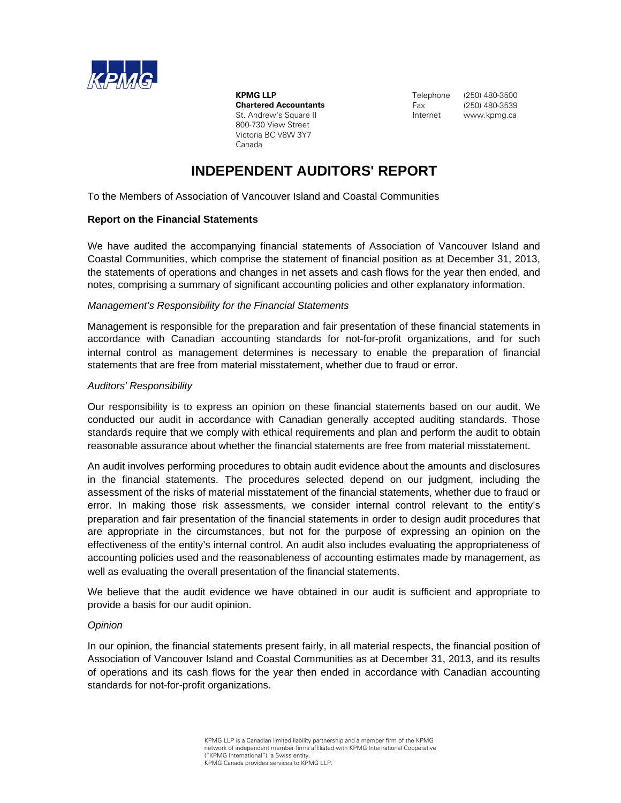

**KPMG LLP** Telephone (250) 480-3500<br> **Chartered Accountants** Fax (250) 480-3539 **Chartered Accountants** Fax St. Andrew's Square II and the state of the state www.kpmg.ca 800-730 View Street Victoria BC V8W 3Y7 Canada

# **INDEPENDENT AUDITORS' REPORT**

To the Members of Association of Vancouver Island and Coastal Communities

# **Report on the Financial Statements**

We have audited the accompanying financial statements of Association of Vancouver Island and Coastal Communities, which comprise the statement of financial position as at December 31, 2013, the statements of operations and changes in net assets and cash flows for the year then ended, and notes, comprising a summary of significant accounting policies and other explanatory information.

# *Management's Responsibility for the Financial Statements*

Management is responsible for the preparation and fair presentation of these financial statements in accordance with Canadian accounting standards for not-for-profit organizations, and for such internal control as management determines is necessary to enable the preparation of financial statements that are free from material misstatement, whether due to fraud or error.

# *Auditors' Responsibility*

Our responsibility is to express an opinion on these financial statements based on our audit. We conducted our audit in accordance with Canadian generally accepted auditing standards. Those standards require that we comply with ethical requirements and plan and perform the audit to obtain reasonable assurance about whether the financial statements are free from material misstatement.

An audit involves performing procedures to obtain audit evidence about the amounts and disclosures in the financial statements. The procedures selected depend on our judgment, including the assessment of the risks of material misstatement of the financial statements, whether due to fraud or error. In making those risk assessments, we consider internal control relevant to the entity's preparation and fair presentation of the financial statements in order to design audit procedures that are appropriate in the circumstances, but not for the purpose of expressing an opinion on the effectiveness of the entity's internal control. An audit also includes evaluating the appropriateness of accounting policies used and the reasonableness of accounting estimates made by management, as well as evaluating the overall presentation of the financial statements.

We believe that the audit evidence we have obtained in our audit is sufficient and appropriate to provide a basis for our audit opinion.

# *Opinion*

In our opinion, the financial statements present fairly, in all material respects, the financial position of Association of Vancouver Island and Coastal Communities as at December 31, 2013, and its results of operations and its cash flows for the year then ended in accordance with Canadian accounting standards for not-for-profit organizations.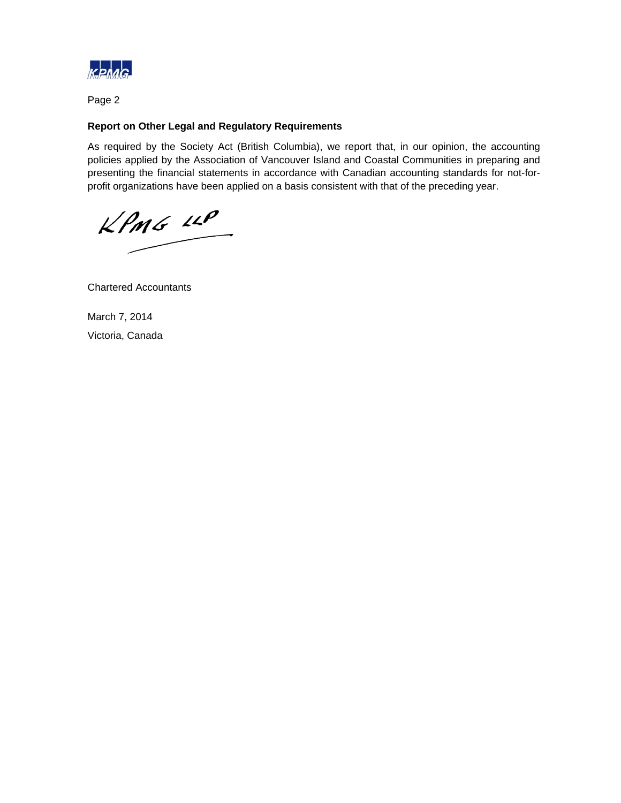

Page 2

# **Report on Other Legal and Regulatory Requirements**

As required by the Society Act (British Columbia), we report that, in our opinion, the accounting policies applied by the Association of Vancouver Island and Coastal Communities in preparing and presenting the financial statements in accordance with Canadian accounting standards for not-forprofit organizations have been applied on a basis consistent with that of the preceding year.

 $KPMG$  14P

Chartered Accountants

March 7, 2014 Victoria, Canada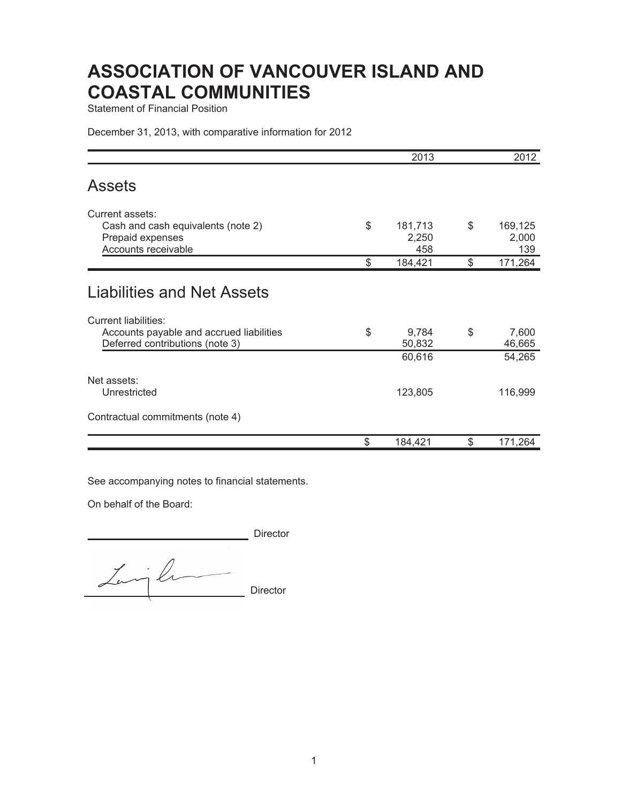Statement of Financial Position

December 31, 2013, with comparative information for 2012

|                                                                                                                                          | 2013                          | 2012                          |
|------------------------------------------------------------------------------------------------------------------------------------------|-------------------------------|-------------------------------|
| <b>Assets</b>                                                                                                                            |                               |                               |
| Current assets:<br>Cash and cash equivalents (note 2)<br>Prepaid expenses<br>Accounts receivable                                         | \$<br>181,713<br>2,250<br>458 | \$<br>169,125<br>2,000<br>139 |
|                                                                                                                                          | \$<br>184,421                 | \$<br>171,264                 |
| <b>Liabilities and Net Assets</b><br>Current liabilities:<br>Accounts payable and accrued liabilities<br>Deferred contributions (note 3) | \$<br>9,784<br>50,832         | \$<br>7,600<br>46,665         |
|                                                                                                                                          | 60,616                        | 54,265                        |
| Net assets:<br>Unrestricted<br>Contractual commitments (note 4)                                                                          | 123,805                       | 116,999                       |
|                                                                                                                                          | \$<br>184,421                 | \$<br>171,264                 |

See accompanying notes to financial statements.

On behalf of the Board:

**Director** 

Larig lim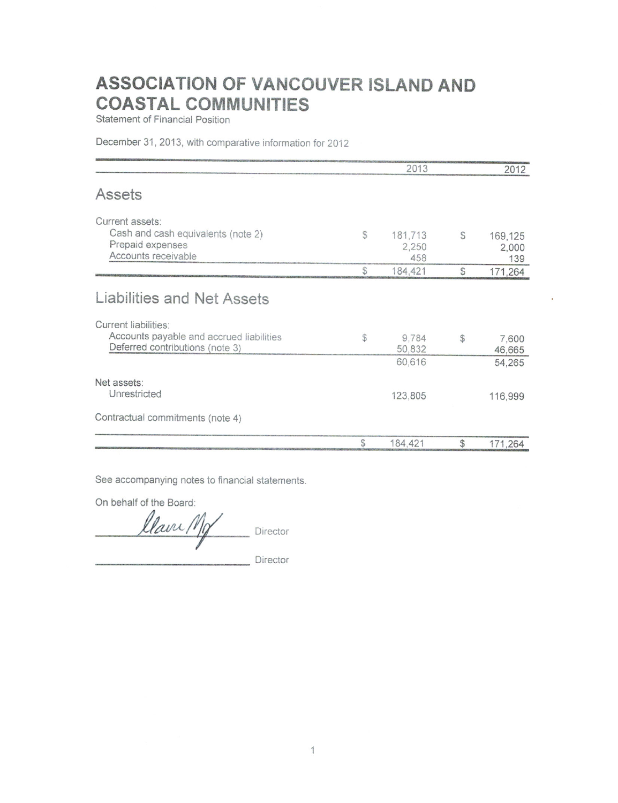Statement of Financial Position

December 31, 2013, with comparative information for 2012

|                                                                                                                                   |    | 2013                    |    | 2012                    |
|-----------------------------------------------------------------------------------------------------------------------------------|----|-------------------------|----|-------------------------|
| Assets                                                                                                                            |    |                         |    |                         |
| Current assets:<br>Cash and cash equivalents (note 2)<br>Prepaid expenses<br>Accounts receivable                                  | S  | 181,713<br>2,250<br>458 | S  | 169,125<br>2,000<br>139 |
|                                                                                                                                   | Ŝ, | 184,421                 | \$ | 171,264                 |
| Liabilities and Net Assets<br>Current liabilities:<br>Accounts payable and accrued liabilities<br>Deferred contributions (note 3) | Ŝ  | 9.784<br>50,832         | \$ | 7,600<br>46,665         |
|                                                                                                                                   |    | 60,616                  |    | 54,265                  |
| Net assets:<br>Unrestricted                                                                                                       |    | 123,805                 |    | 116,999                 |
| Contractual commitments (note 4)                                                                                                  |    |                         |    |                         |
|                                                                                                                                   | \$ | 184,421                 | \$ | 171,264                 |

See accompanying notes to financial statements.

On behalf of the Board:

llave Mg Director

Director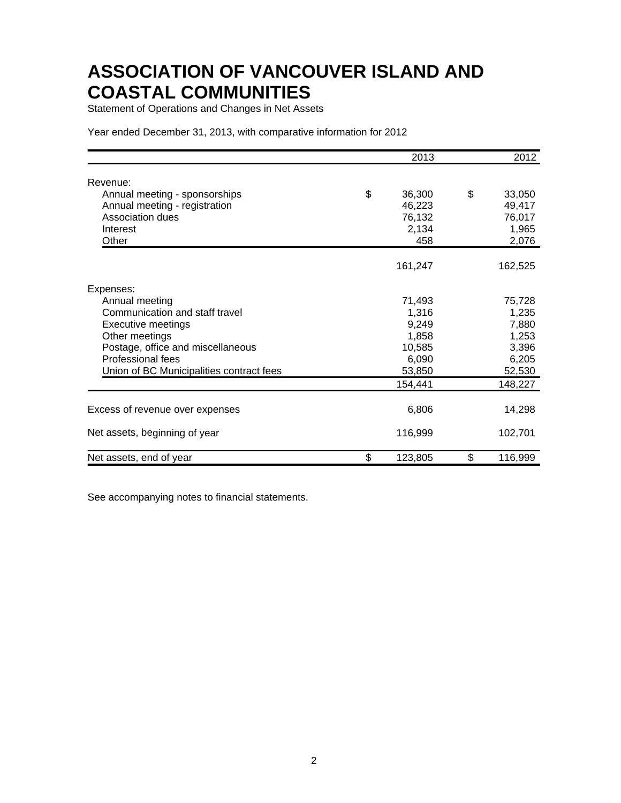Statement of Operations and Changes in Net Assets

Year ended December 31, 2013, with comparative information for 2012

|                                          | 2013          | 2012          |
|------------------------------------------|---------------|---------------|
| Revenue:                                 |               |               |
| Annual meeting - sponsorships            | \$<br>36,300  | \$<br>33,050  |
| Annual meeting - registration            | 46,223        | 49,417        |
| Association dues                         | 76,132        | 76,017        |
| Interest                                 | 2,134         | 1,965         |
| Other                                    | 458           | 2,076         |
|                                          | 161,247       | 162,525       |
| Expenses:                                |               |               |
| Annual meeting                           | 71,493        | 75,728        |
| Communication and staff travel           | 1,316         | 1,235         |
| Executive meetings                       | 9,249         | 7,880         |
| Other meetings                           | 1,858         | 1,253         |
| Postage, office and miscellaneous        | 10,585        | 3,396         |
| Professional fees                        | 6,090         | 6,205         |
| Union of BC Municipalities contract fees | 53,850        | 52,530        |
|                                          | 154,441       | 148,227       |
| Excess of revenue over expenses          | 6,806         | 14,298        |
|                                          |               |               |
| Net assets, beginning of year            | 116,999       | 102,701       |
| Net assets, end of year                  | \$<br>123,805 | \$<br>116,999 |

See accompanying notes to financial statements.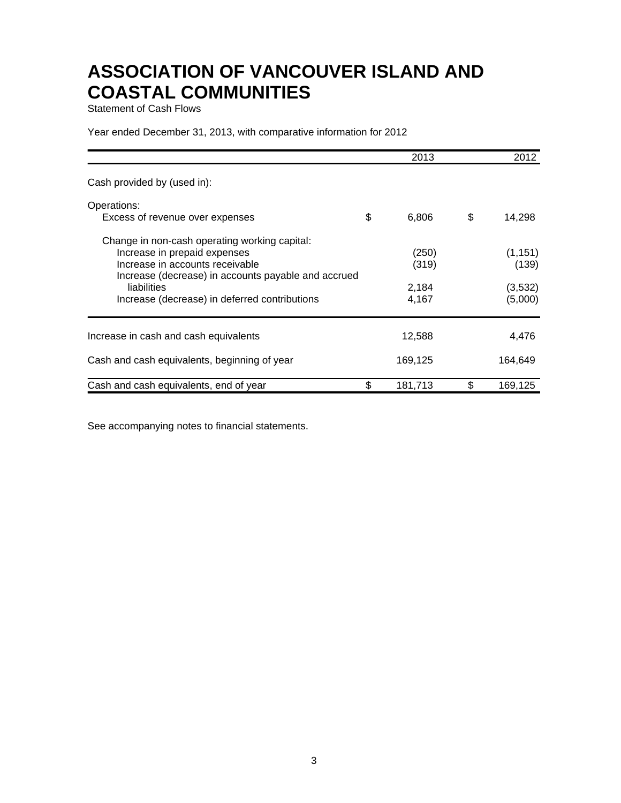Statement of Cash Flows

Year ended December 31, 2013, with comparative information for 2012

|                                                     | 2013          | 2012         |
|-----------------------------------------------------|---------------|--------------|
| Cash provided by (used in):                         |               |              |
| Operations:                                         |               |              |
| Excess of revenue over expenses                     | \$<br>6,806   | \$<br>14,298 |
| Change in non-cash operating working capital:       |               |              |
| Increase in prepaid expenses                        | (250)         | (1, 151)     |
| Increase in accounts receivable                     | (319)         | (139)        |
| Increase (decrease) in accounts payable and accrued |               |              |
| liabilities                                         | 2,184         | (3,532)      |
| Increase (decrease) in deferred contributions       | 4,167         | (5,000)      |
|                                                     |               |              |
| Increase in cash and cash equivalents               | 12,588        | 4,476        |
| Cash and cash equivalents, beginning of year        | 169,125       | 164,649      |
|                                                     |               |              |
| Cash and cash equivalents, end of year              | \$<br>181,713 | 169,125      |

See accompanying notes to financial statements.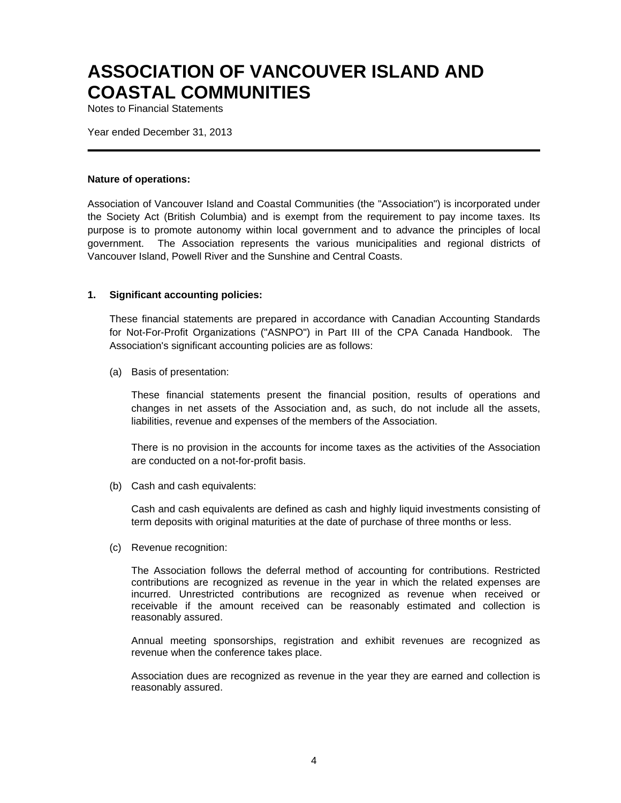Notes to Financial Statements

Year ended December 31, 2013

## **Nature of operations:**

Association of Vancouver Island and Coastal Communities (the "Association") is incorporated under the Society Act (British Columbia) and is exempt from the requirement to pay income taxes. Its purpose is to promote autonomy within local government and to advance the principles of local government. The Association represents the various municipalities and regional districts of Vancouver Island, Powell River and the Sunshine and Central Coasts.

# **1. Significant accounting policies:**

These financial statements are prepared in accordance with Canadian Accounting Standards for Not-For-Profit Organizations ("ASNPO") in Part III of the CPA Canada Handbook. The Association's significant accounting policies are as follows:

(a) Basis of presentation:

These financial statements present the financial position, results of operations and changes in net assets of the Association and, as such, do not include all the assets, liabilities, revenue and expenses of the members of the Association.

There is no provision in the accounts for income taxes as the activities of the Association are conducted on a not-for-profit basis.

(b) Cash and cash equivalents:

Cash and cash equivalents are defined as cash and highly liquid investments consisting of term deposits with original maturities at the date of purchase of three months or less.

(c) Revenue recognition:

The Association follows the deferral method of accounting for contributions. Restricted contributions are recognized as revenue in the year in which the related expenses are incurred. Unrestricted contributions are recognized as revenue when received or receivable if the amount received can be reasonably estimated and collection is reasonably assured.

Annual meeting sponsorships, registration and exhibit revenues are recognized as revenue when the conference takes place.

Association dues are recognized as revenue in the year they are earned and collection is reasonably assured.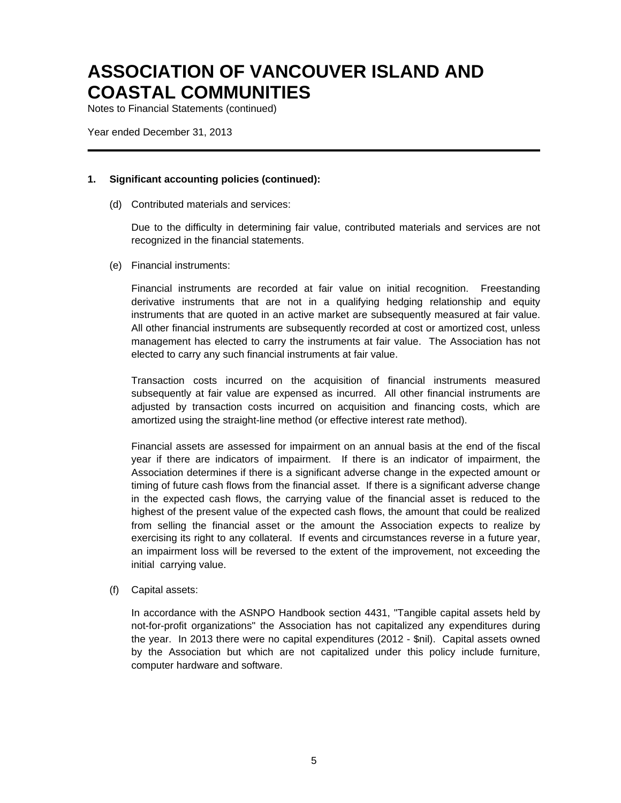Notes to Financial Statements (continued)

Year ended December 31, 2013

# **1. Significant accounting policies (continued):**

(d) Contributed materials and services:

Due to the difficulty in determining fair value, contributed materials and services are not recognized in the financial statements.

(e) Financial instruments:

Financial instruments are recorded at fair value on initial recognition. Freestanding derivative instruments that are not in a qualifying hedging relationship and equity instruments that are quoted in an active market are subsequently measured at fair value. All other financial instruments are subsequently recorded at cost or amortized cost, unless management has elected to carry the instruments at fair value. The Association has not elected to carry any such financial instruments at fair value.

Transaction costs incurred on the acquisition of financial instruments measured subsequently at fair value are expensed as incurred. All other financial instruments are adjusted by transaction costs incurred on acquisition and financing costs, which are amortized using the straight-line method (or effective interest rate method).

Financial assets are assessed for impairment on an annual basis at the end of the fiscal year if there are indicators of impairment. If there is an indicator of impairment, the Association determines if there is a significant adverse change in the expected amount or timing of future cash flows from the financial asset. If there is a significant adverse change in the expected cash flows, the carrying value of the financial asset is reduced to the highest of the present value of the expected cash flows, the amount that could be realized from selling the financial asset or the amount the Association expects to realize by exercising its right to any collateral. If events and circumstances reverse in a future year, an impairment loss will be reversed to the extent of the improvement, not exceeding the initial carrying value.

(f) Capital assets:

In accordance with the ASNPO Handbook section 4431, "Tangible capital assets held by not-for-profit organizations" the Association has not capitalized any expenditures during the year. In 2013 there were no capital expenditures (2012 - \$nil). Capital assets owned by the Association but which are not capitalized under this policy include furniture, computer hardware and software.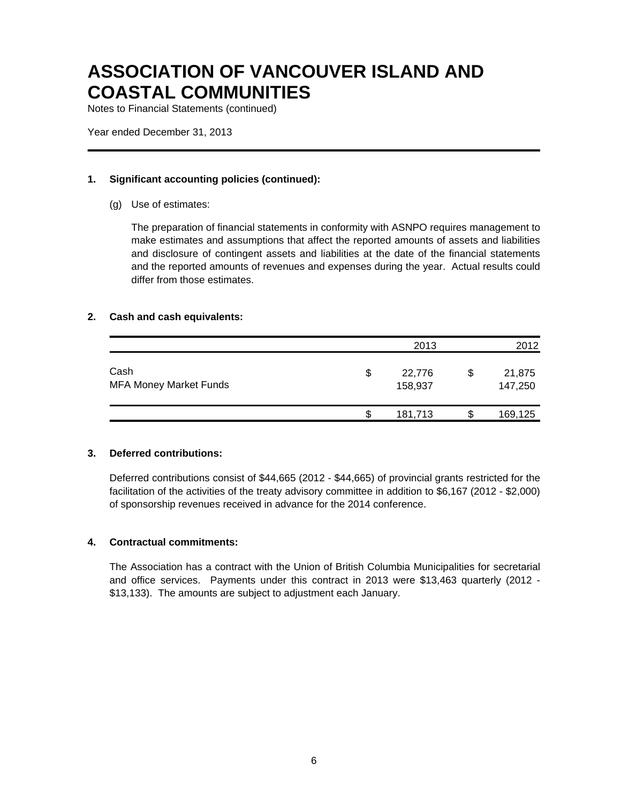Notes to Financial Statements (continued)

Year ended December 31, 2013

# **1. Significant accounting policies (continued):**

(g) Use of estimates:

The preparation of financial statements in conformity with ASNPO requires management to make estimates and assumptions that affect the reported amounts of assets and liabilities and disclosure of contingent assets and liabilities at the date of the financial statements and the reported amounts of revenues and expenses during the year. Actual results could differ from those estimates.

# **2. Cash and cash equivalents:**

|                                       | 2013                    |   |                   |
|---------------------------------------|-------------------------|---|-------------------|
| Cash<br><b>MFA Money Market Funds</b> | \$<br>22,776<br>158,937 | S | 21,875<br>147,250 |
|                                       | \$<br>181,713           | S | 169,125           |

# **3. Deferred contributions:**

Deferred contributions consist of \$44,665 (2012 - \$44,665) of provincial grants restricted for the facilitation of the activities of the treaty advisory committee in addition to \$6,167 (2012 - \$2,000) of sponsorship revenues received in advance for the 2014 conference.

# **4. Contractual commitments:**

The Association has a contract with the Union of British Columbia Municipalities for secretarial and office services. Payments under this contract in 2013 were \$13,463 quarterly (2012 - \$13,133). The amounts are subject to adjustment each January.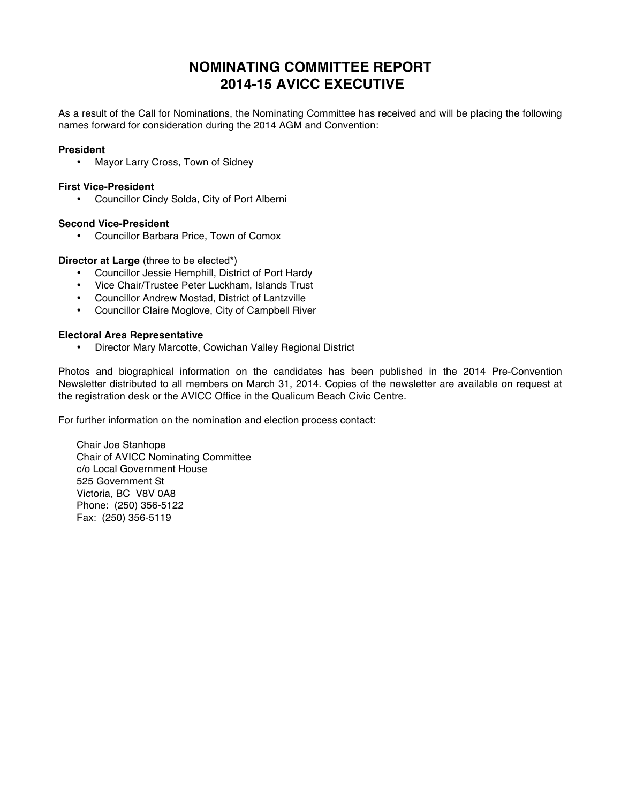# **NOMINATING COMMITTEE REPORT 2014-15 AVICC EXECUTIVE**

As a result of the Call for Nominations, the Nominating Committee has received and will be placing the following names forward for consideration during the 2014 AGM and Convention:

# **President**

• Mayor Larry Cross, Town of Sidney

# **First Vice-President**

• Councillor Cindy Solda, City of Port Alberni

# **Second Vice-President**

• Councillor Barbara Price, Town of Comox

# **Director at Large** (three to be elected\*)

- Councillor Jessie Hemphill, District of Port Hardy
- Vice Chair/Trustee Peter Luckham, Islands Trust
- Councillor Andrew Mostad, District of Lantzville
- Councillor Claire Moglove, City of Campbell River

# **Electoral Area Representative**

• Director Mary Marcotte, Cowichan Valley Regional District

Photos and biographical information on the candidates has been published in the 2014 Pre-Convention Newsletter distributed to all members on March 31, 2014. Copies of the newsletter are available on request at the registration desk or the AVICC Office in the Qualicum Beach Civic Centre.

For further information on the nomination and election process contact:

Chair Joe Stanhope Chair of AVICC Nominating Committee c/o Local Government House 525 Government St Victoria, BC V8V 0A8 Phone: (250) 356-5122 Fax: (250) 356-5119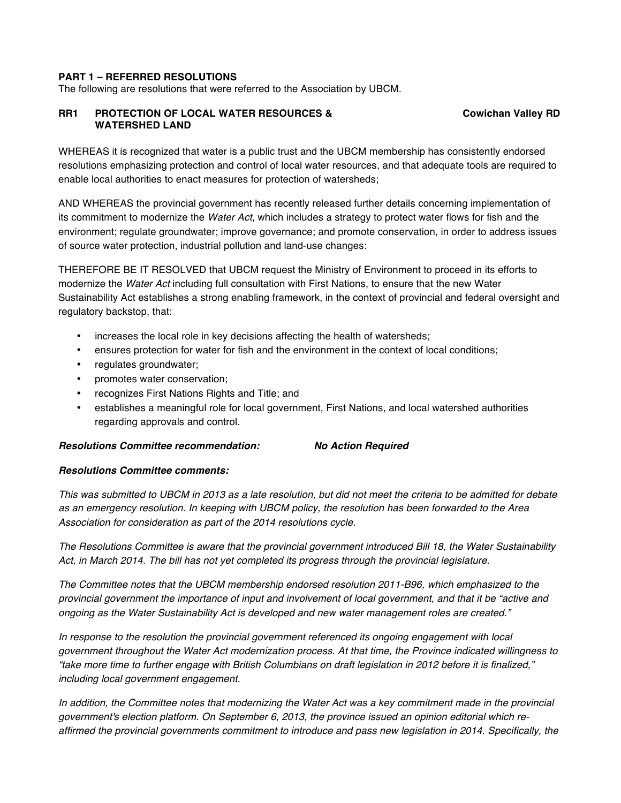# **PART 1 – REFERRED RESOLUTIONS**

The following are resolutions that were referred to the Association by UBCM.

# **RR1 PROTECTION OF LOCAL WATER RESOURCES & Cowichan Valley RD WATERSHED LAND**

WHEREAS it is recognized that water is a public trust and the UBCM membership has consistently endorsed resolutions emphasizing protection and control of local water resources, and that adequate tools are required to enable local authorities to enact measures for protection of watersheds;

AND WHEREAS the provincial government has recently released further details concerning implementation of its commitment to modernize the *Water Act*, which includes a strategy to protect water flows for fish and the environment; regulate groundwater; improve governance; and promote conservation, in order to address issues of source water protection, industrial pollution and land-use changes:

THEREFORE BE IT RESOLVED that UBCM request the Ministry of Environment to proceed in its efforts to modernize the *Water Act* including full consultation with First Nations, to ensure that the new Water Sustainability Act establishes a strong enabling framework, in the context of provincial and federal oversight and regulatory backstop, that:

- increases the local role in key decisions affecting the health of watersheds;
- ensures protection for water for fish and the environment in the context of local conditions;
- regulates groundwater;
- promotes water conservation;
- recognizes First Nations Rights and Title; and
- establishes a meaningful role for local government, First Nations, and local watershed authorities regarding approvals and control.

*Resolutions Committee recommendation: No Action Required*

# *Resolutions Committee comments:*

*This was submitted to UBCM in 2013 as a late resolution, but did not meet the criteria to be admitted for debate as an emergency resolution. In keeping with UBCM policy, the resolution has been forwarded to the Area Association for consideration as part of the 2014 resolutions cycle.*

*The Resolutions Committee is aware that the provincial government introduced Bill 18, the Water Sustainability Act, in March 2014. The bill has not yet completed its progress through the provincial legislature.* 

*The Committee notes that the UBCM membership endorsed resolution 2011-B96, which emphasized to the provincial government the importance of input and involvement of local government, and that it be "active and ongoing as the Water Sustainability Act is developed and new water management roles are created."*

*In response to the resolution the provincial government referenced its ongoing engagement with local government throughout the Water Act modernization process. At that time, the Province indicated willingness to "take more time to further engage with British Columbians on draft legislation in 2012 before it is finalized," including local government engagement.*

*In addition, the Committee notes that modernizing the Water Act was a key commitment made in the provincial government's election platform. On September 6, 2013, the province issued an opinion editorial which reaffirmed the provincial governments commitment to introduce and pass new legislation in 2014. Specifically, the*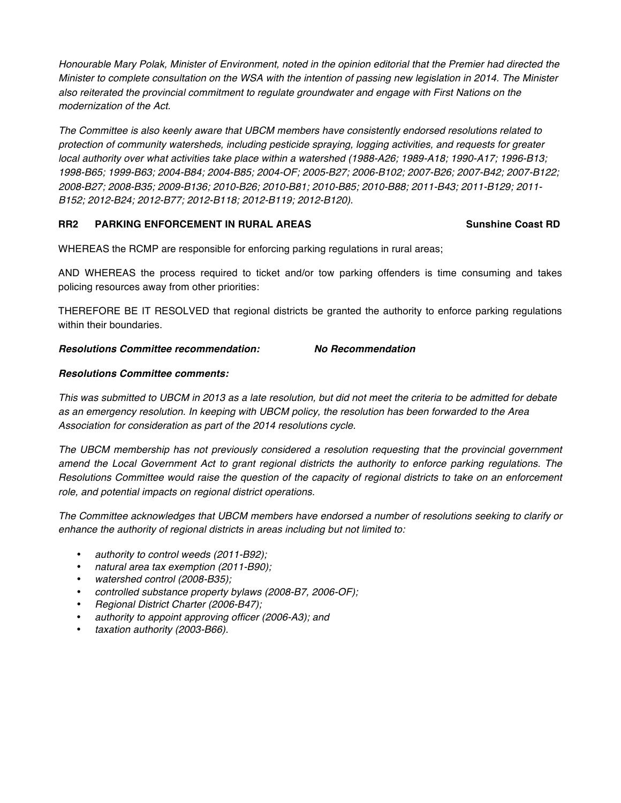*Honourable Mary Polak, Minister of Environment, noted in the opinion editorial that the Premier had directed the Minister to complete consultation on the WSA with the intention of passing new legislation in 2014. The Minister also reiterated the provincial commitment to regulate groundwater and engage with First Nations on the modernization of the Act.*

*The Committee is also keenly aware that UBCM members have consistently endorsed resolutions related to protection of community watersheds, including pesticide spraying, logging activities, and requests for greater local authority over what activities take place within a watershed (1988-A26; 1989-A18; 1990-A17; 1996-B13; 1998-B65; 1999-B63; 2004-B84; 2004-B85; 2004-OF; 2005-B27; 2006-B102; 2007-B26; 2007-B42; 2007-B122; 2008-B27; 2008-B35; 2009-B136; 2010-B26; 2010-B81; 2010-B85; 2010-B88; 2011-B43; 2011-B129; 2011- B152; 2012-B24; 2012-B77; 2012-B118; 2012-B119; 2012-B120).*

# **RR2 PARKING ENFORCEMENT IN RURAL AREAS Sunshine Coast RD**

WHEREAS the RCMP are responsible for enforcing parking regulations in rural areas;

AND WHEREAS the process required to ticket and/or tow parking offenders is time consuming and takes policing resources away from other priorities:

THEREFORE BE IT RESOLVED that regional districts be granted the authority to enforce parking regulations within their boundaries.

# *Resolutions Committee recommendation: No Recommendation*

# *Resolutions Committee comments:*

*This was submitted to UBCM in 2013 as a late resolution, but did not meet the criteria to be admitted for debate as an emergency resolution. In keeping with UBCM policy, the resolution has been forwarded to the Area Association for consideration as part of the 2014 resolutions cycle.*

*The UBCM membership has not previously considered a resolution requesting that the provincial government amend the Local Government Act to grant regional districts the authority to enforce parking regulations. The Resolutions Committee would raise the question of the capacity of regional districts to take on an enforcement role, and potential impacts on regional district operations.*

*The Committee acknowledges that UBCM members have endorsed a number of resolutions seeking to clarify or enhance the authority of regional districts in areas including but not limited to:*

- *authority to control weeds (2011-B92);*
- *natural area tax exemption (2011-B90);*
- *watershed control (2008-B35);*
- *controlled substance property bylaws (2008-B7, 2006-OF);*
- *Regional District Charter (2006-B47);*
- *authority to appoint approving officer (2006-A3); and*
- *taxation authority (2003-B66).*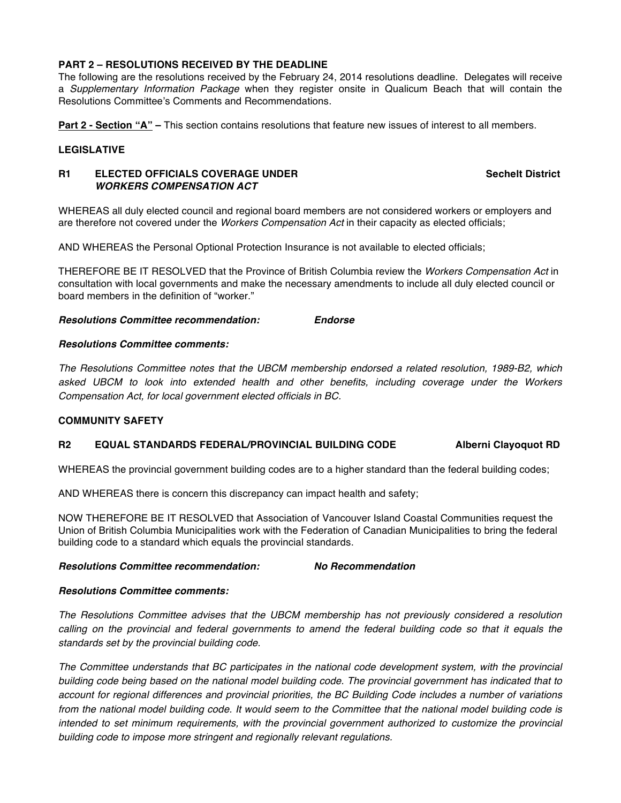# **PART 2 – RESOLUTIONS RECEIVED BY THE DEADLINE**

The following are the resolutions received by the February 24, 2014 resolutions deadline. Delegates will receive a *Supplementary Information Package* when they register onsite in Qualicum Beach that will contain the Resolutions Committee's Comments and Recommendations.

**Part 2 - Section "A" –** This section contains resolutions that feature new issues of interest to all members.

## **LEGISLATIVE**

# **R1 ELECTED OFFICIALS COVERAGE UNDER Sechelt District Sechelt** District *WORKERS COMPENSATION ACT*

WHEREAS all duly elected council and regional board members are not considered workers or employers and are therefore not covered under the *Workers Compensation Act* in their capacity as elected officials;

AND WHEREAS the Personal Optional Protection Insurance is not available to elected officials;

THEREFORE BE IT RESOLVED that the Province of British Columbia review the *Workers Compensation Act* in consultation with local governments and make the necessary amendments to include all duly elected council or board members in the definition of "worker."

# *Resolutions Committee recommendation: Endorse*

## *Resolutions Committee comments:*

*The Resolutions Committee notes that the UBCM membership endorsed a related resolution, 1989-B2, which asked UBCM to look into extended health and other benefits, including coverage under the Workers Compensation Act, for local government elected officials in BC.*

# **COMMUNITY SAFETY**

# **R2 EQUAL STANDARDS FEDERAL/PROVINCIAL BUILDING CODE Alberni Clayoquot RD**

WHEREAS the provincial government building codes are to a higher standard than the federal building codes;

AND WHEREAS there is concern this discrepancy can impact health and safety;

NOW THEREFORE BE IT RESOLVED that Association of Vancouver Island Coastal Communities request the Union of British Columbia Municipalities work with the Federation of Canadian Municipalities to bring the federal building code to a standard which equals the provincial standards.

*Resolutions Committee recommendation: No Recommendation*

# *Resolutions Committee comments:*

*The Resolutions Committee advises that the UBCM membership has not previously considered a resolution calling on the provincial and federal governments to amend the federal building code so that it equals the standards set by the provincial building code.*

*The Committee understands that BC participates in the national code development system, with the provincial building code being based on the national model building code. The provincial government has indicated that to account for regional differences and provincial priorities, the BC Building Code includes a number of variations from the national model building code. It would seem to the Committee that the national model building code is intended to set minimum requirements, with the provincial government authorized to customize the provincial building code to impose more stringent and regionally relevant regulations.*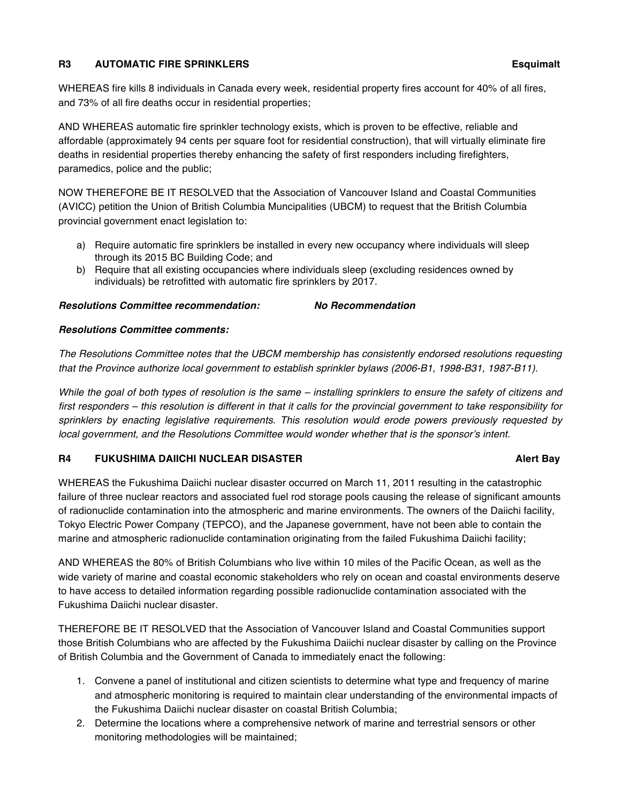# **R3 AUTOMATIC FIRE SPRINKLERS Esquimalt**

WHEREAS fire kills 8 individuals in Canada every week, residential property fires account for 40% of all fires, and 73% of all fire deaths occur in residential properties;

AND WHEREAS automatic fire sprinkler technology exists, which is proven to be effective, reliable and affordable (approximately 94 cents per square foot for residential construction), that will virtually eliminate fire deaths in residential properties thereby enhancing the safety of first responders including firefighters, paramedics, police and the public;

NOW THEREFORE BE IT RESOLVED that the Association of Vancouver Island and Coastal Communities (AVICC) petition the Union of British Columbia Muncipalities (UBCM) to request that the British Columbia provincial government enact legislation to:

- a) Require automatic fire sprinklers be installed in every new occupancy where individuals will sleep through its 2015 BC Building Code; and
- b) Require that all existing occupancies where individuals sleep (excluding residences owned by individuals) be retrofitted with automatic fire sprinklers by 2017.

# *Resolutions Committee recommendation: No Recommendation*

# *Resolutions Committee comments:*

*The Resolutions Committee notes that the UBCM membership has consistently endorsed resolutions requesting that the Province authorize local government to establish sprinkler bylaws (2006-B1, 1998-B31, 1987-B11).*

*While the goal of both types of resolution is the same – installing sprinklers to ensure the safety of citizens and first responders – this resolution is different in that it calls for the provincial government to take responsibility for sprinklers by enacting legislative requirements. This resolution would erode powers previously requested by local government, and the Resolutions Committee would wonder whether that is the sponsor's intent.*

# **R4 FUKUSHIMA DAIICHI NUCLEAR DISASTER Alert Bay**

WHEREAS the Fukushima Daiichi nuclear disaster occurred on March 11, 2011 resulting in the catastrophic failure of three nuclear reactors and associated fuel rod storage pools causing the release of significant amounts of radionuclide contamination into the atmospheric and marine environments. The owners of the Daiichi facility, Tokyo Electric Power Company (TEPCO), and the Japanese government, have not been able to contain the marine and atmospheric radionuclide contamination originating from the failed Fukushima Daiichi facility;

AND WHEREAS the 80% of British Columbians who live within 10 miles of the Pacific Ocean, as well as the wide variety of marine and coastal economic stakeholders who rely on ocean and coastal environments deserve to have access to detailed information regarding possible radionuclide contamination associated with the Fukushima Daiichi nuclear disaster.

THEREFORE BE IT RESOLVED that the Association of Vancouver Island and Coastal Communities support those British Columbians who are affected by the Fukushima Daiichi nuclear disaster by calling on the Province of British Columbia and the Government of Canada to immediately enact the following:

- 1. Convene a panel of institutional and citizen scientists to determine what type and frequency of marine and atmospheric monitoring is required to maintain clear understanding of the environmental impacts of the Fukushima Daiichi nuclear disaster on coastal British Columbia;
- 2. Determine the locations where a comprehensive network of marine and terrestrial sensors or other monitoring methodologies will be maintained;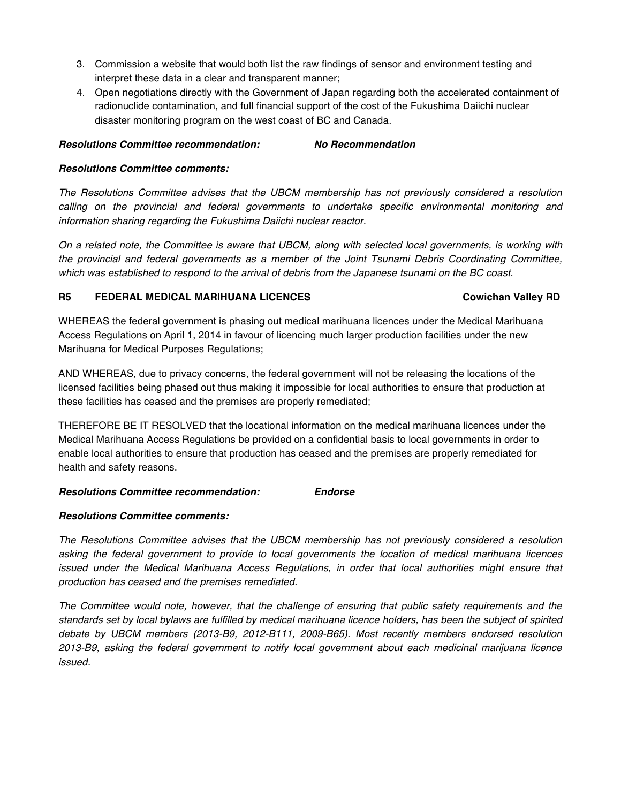- 3. Commission a website that would both list the raw findings of sensor and environment testing and interpret these data in a clear and transparent manner;
- 4. Open negotiations directly with the Government of Japan regarding both the accelerated containment of radionuclide contamination, and full financial support of the cost of the Fukushima Daiichi nuclear disaster monitoring program on the west coast of BC and Canada.

# *Resolutions Committee recommendation: No Recommendation*

# *Resolutions Committee comments:*

*The Resolutions Committee advises that the UBCM membership has not previously considered a resolution calling on the provincial and federal governments to undertake specific environmental monitoring and information sharing regarding the Fukushima Daiichi nuclear reactor.*

*On a related note, the Committee is aware that UBCM, along with selected local governments, is working with the provincial and federal governments as a member of the Joint Tsunami Debris Coordinating Committee, which was established to respond to the arrival of debris from the Japanese tsunami on the BC coast.*

# **R5 FEDERAL MEDICAL MARIHUANA LICENCES Cowichan Valley RD**

WHEREAS the federal government is phasing out medical marihuana licences under the Medical Marihuana Access Regulations on April 1, 2014 in favour of licencing much larger production facilities under the new Marihuana for Medical Purposes Regulations;

AND WHEREAS, due to privacy concerns, the federal government will not be releasing the locations of the licensed facilities being phased out thus making it impossible for local authorities to ensure that production at these facilities has ceased and the premises are properly remediated;

THEREFORE BE IT RESOLVED that the locational information on the medical marihuana licences under the Medical Marihuana Access Regulations be provided on a confidential basis to local governments in order to enable local authorities to ensure that production has ceased and the premises are properly remediated for health and safety reasons.

# *Resolutions Committee recommendation: Endorse*

# *Resolutions Committee comments:*

*The Resolutions Committee advises that the UBCM membership has not previously considered a resolution asking the federal government to provide to local governments the location of medical marihuana licences issued under the Medical Marihuana Access Regulations, in order that local authorities might ensure that production has ceased and the premises remediated.*

*The Committee would note, however, that the challenge of ensuring that public safety requirements and the standards set by local bylaws are fulfilled by medical marihuana licence holders, has been the subject of spirited debate by UBCM members (2013-B9, 2012-B111, 2009-B65). Most recently members endorsed resolution 2013-B9, asking the federal government to notify local government about each medicinal marijuana licence issued.*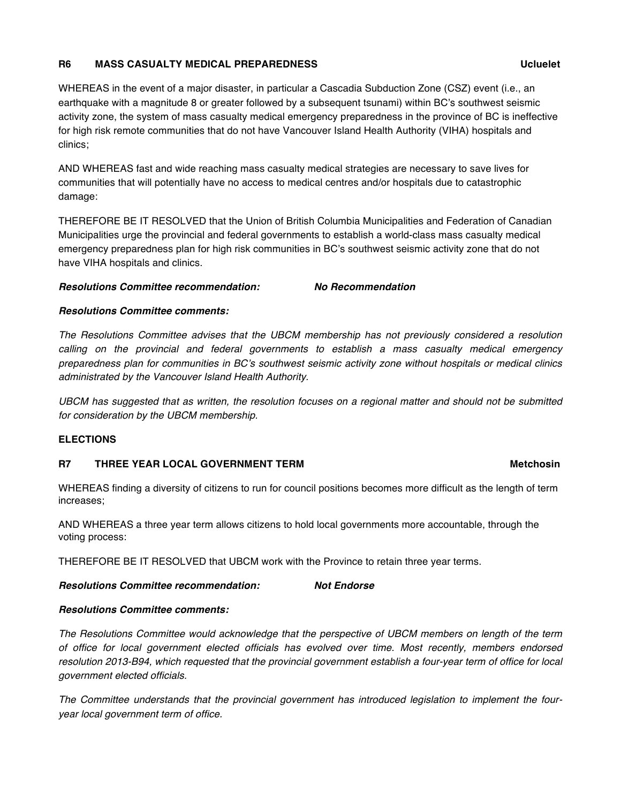# **R6 MASS CASUALTY MEDICAL PREPAREDNESS Ucluelet**

WHEREAS in the event of a major disaster, in particular a Cascadia Subduction Zone (CSZ) event (i.e., an earthquake with a magnitude 8 or greater followed by a subsequent tsunami) within BC's southwest seismic activity zone, the system of mass casualty medical emergency preparedness in the province of BC is ineffective for high risk remote communities that do not have Vancouver Island Health Authority (VIHA) hospitals and clinics;

AND WHEREAS fast and wide reaching mass casualty medical strategies are necessary to save lives for communities that will potentially have no access to medical centres and/or hospitals due to catastrophic damage:

THEREFORE BE IT RESOLVED that the Union of British Columbia Municipalities and Federation of Canadian Municipalities urge the provincial and federal governments to establish a world-class mass casualty medical emergency preparedness plan for high risk communities in BC's southwest seismic activity zone that do not have VIHA hospitals and clinics.

*Resolutions Committee recommendation: No Recommendation*

# *Resolutions Committee comments:*

*The Resolutions Committee advises that the UBCM membership has not previously considered a resolution calling on the provincial and federal governments to establish a mass casualty medical emergency preparedness plan for communities in BC's southwest seismic activity zone without hospitals or medical clinics administrated by the Vancouver Island Health Authority.*

*UBCM has suggested that as written, the resolution focuses on a regional matter and should not be submitted for consideration by the UBCM membership.*

# **ELECTIONS**

# **R7 THREE YEAR LOCAL GOVERNMENT TERM Metchosin**

WHEREAS finding a diversity of citizens to run for council positions becomes more difficult as the length of term increases;

AND WHEREAS a three year term allows citizens to hold local governments more accountable, through the voting process:

THEREFORE BE IT RESOLVED that UBCM work with the Province to retain three year terms.

*Resolutions Committee recommendation: Not Endorse*

# *Resolutions Committee comments:*

*The Resolutions Committee would acknowledge that the perspective of UBCM members on length of the term of office for local government elected officials has evolved over time. Most recently, members endorsed resolution 2013-B94, which requested that the provincial government establish a four-year term of office for local government elected officials.*

*The Committee understands that the provincial government has introduced legislation to implement the fouryear local government term of office.*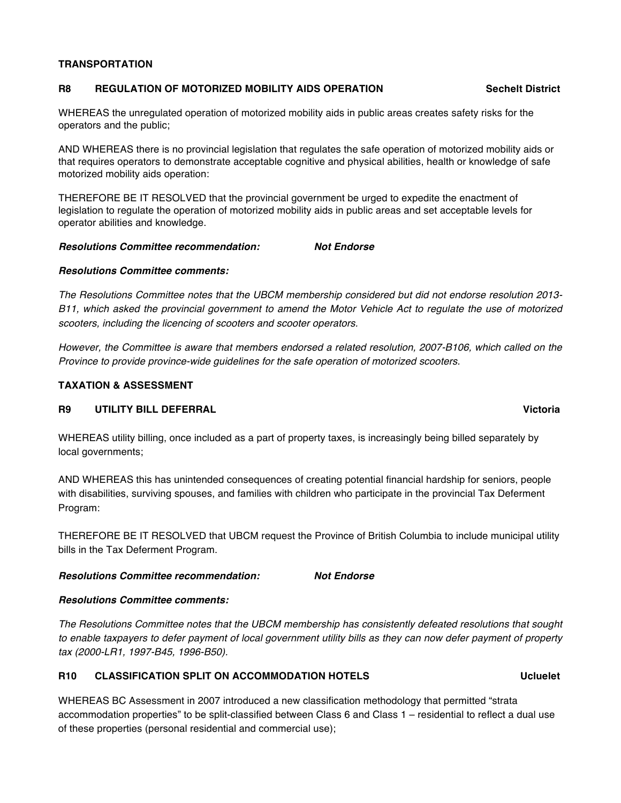# **TRANSPORTATION**

## **R8 REGULATION OF MOTORIZED MOBILITY AIDS OPERATION Sechelt District**

WHEREAS the unregulated operation of motorized mobility aids in public areas creates safety risks for the operators and the public;

AND WHEREAS there is no provincial legislation that regulates the safe operation of motorized mobility aids or that requires operators to demonstrate acceptable cognitive and physical abilities, health or knowledge of safe motorized mobility aids operation:

THEREFORE BE IT RESOLVED that the provincial government be urged to expedite the enactment of legislation to regulate the operation of motorized mobility aids in public areas and set acceptable levels for operator abilities and knowledge.

## *Resolutions Committee recommendation: Not Endorse*

# *Resolutions Committee comments:*

*The Resolutions Committee notes that the UBCM membership considered but did not endorse resolution 2013- B11, which asked the provincial government to amend the Motor Vehicle Act to regulate the use of motorized scooters, including the licencing of scooters and scooter operators.*

*However, the Committee is aware that members endorsed a related resolution, 2007-B106, which called on the Province to provide province-wide guidelines for the safe operation of motorized scooters.*

## **TAXATION & ASSESSMENT**

# **R9 UTILITY BILL DEFERRAL Victoria**

WHEREAS utility billing, once included as a part of property taxes, is increasingly being billed separately by local governments;

AND WHEREAS this has unintended consequences of creating potential financial hardship for seniors, people with disabilities, surviving spouses, and families with children who participate in the provincial Tax Deferment Program:

THEREFORE BE IT RESOLVED that UBCM request the Province of British Columbia to include municipal utility bills in the Tax Deferment Program.

## *Resolutions Committee recommendation: Not Endorse*

### *Resolutions Committee comments:*

*The Resolutions Committee notes that the UBCM membership has consistently defeated resolutions that sought to enable taxpayers to defer payment of local government utility bills as they can now defer payment of property tax (2000-LR1, 1997-B45, 1996-B50).*

# **R10 CLASSIFICATION SPLIT ON ACCOMMODATION HOTELS Ucluelet**

WHEREAS BC Assessment in 2007 introduced a new classification methodology that permitted "strata accommodation properties" to be split-classified between Class 6 and Class 1 – residential to reflect a dual use of these properties (personal residential and commercial use);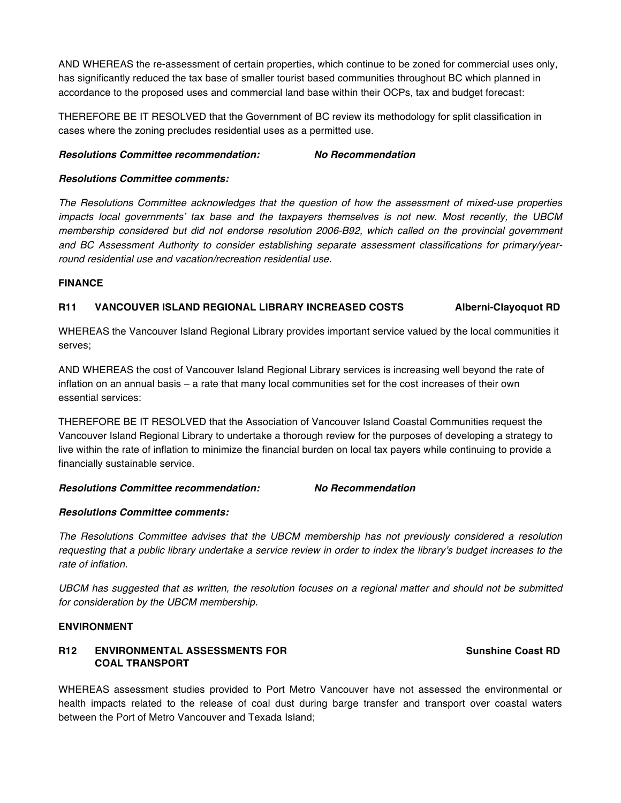AND WHEREAS the re-assessment of certain properties, which continue to be zoned for commercial uses only, has significantly reduced the tax base of smaller tourist based communities throughout BC which planned in accordance to the proposed uses and commercial land base within their OCPs, tax and budget forecast:

THEREFORE BE IT RESOLVED that the Government of BC review its methodology for split classification in cases where the zoning precludes residential uses as a permitted use.

# *Resolutions Committee recommendation: No Recommendation*

# *Resolutions Committee comments:*

*The Resolutions Committee acknowledges that the question of how the assessment of mixed-use properties impacts local governments' tax base and the taxpayers themselves is not new. Most recently, the UBCM membership considered but did not endorse resolution 2006-B92, which called on the provincial government and BC Assessment Authority to consider establishing separate assessment classifications for primary/yearround residential use and vacation/recreation residential use.*

# **FINANCE**

# **R11 VANCOUVER ISLAND REGIONAL LIBRARY INCREASED COSTS Alberni-Clayoquot RD**

WHEREAS the Vancouver Island Regional Library provides important service valued by the local communities it serves;

AND WHEREAS the cost of Vancouver Island Regional Library services is increasing well beyond the rate of inflation on an annual basis – a rate that many local communities set for the cost increases of their own essential services:

THEREFORE BE IT RESOLVED that the Association of Vancouver Island Coastal Communities request the Vancouver Island Regional Library to undertake a thorough review for the purposes of developing a strategy to live within the rate of inflation to minimize the financial burden on local tax payers while continuing to provide a financially sustainable service.

# *Resolutions Committee recommendation: No Recommendation*

# *Resolutions Committee comments:*

*The Resolutions Committee advises that the UBCM membership has not previously considered a resolution requesting that a public library undertake a service review in order to index the library's budget increases to the rate of inflation.*

*UBCM has suggested that as written, the resolution focuses on a regional matter and should not be submitted for consideration by the UBCM membership.*

# **ENVIRONMENT**

# **R12 ENVIRONMENTAL ASSESSMENTS FOR Sunshine Coast RD COAL TRANSPORT**

WHEREAS assessment studies provided to Port Metro Vancouver have not assessed the environmental or health impacts related to the release of coal dust during barge transfer and transport over coastal waters between the Port of Metro Vancouver and Texada Island;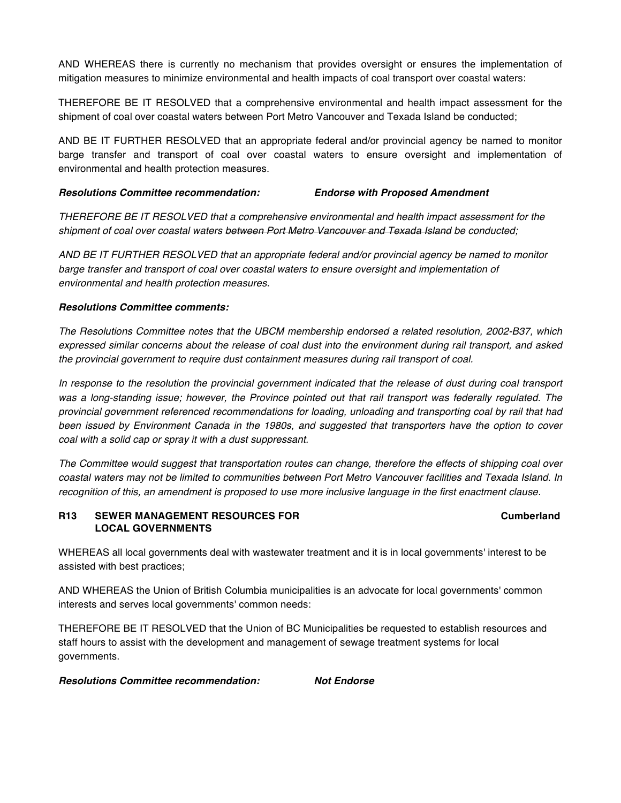AND WHEREAS there is currently no mechanism that provides oversight or ensures the implementation of mitigation measures to minimize environmental and health impacts of coal transport over coastal waters:

THEREFORE BE IT RESOLVED that a comprehensive environmental and health impact assessment for the shipment of coal over coastal waters between Port Metro Vancouver and Texada Island be conducted;

AND BE IT FURTHER RESOLVED that an appropriate federal and/or provincial agency be named to monitor barge transfer and transport of coal over coastal waters to ensure oversight and implementation of environmental and health protection measures.

# *Resolutions Committee recommendation: Endorse with Proposed Amendment*

*THEREFORE BE IT RESOLVED that a comprehensive environmental and health impact assessment for the shipment of coal over coastal waters between Port Metro Vancouver and Texada Island be conducted;*

*AND BE IT FURTHER RESOLVED that an appropriate federal and/or provincial agency be named to monitor barge transfer and transport of coal over coastal waters to ensure oversight and implementation of environmental and health protection measures.*

# *Resolutions Committee comments:*

*The Resolutions Committee notes that the UBCM membership endorsed a related resolution, 2002-B37, which expressed similar concerns about the release of coal dust into the environment during rail transport, and asked the provincial government to require dust containment measures during rail transport of coal.*

*In response to the resolution the provincial government indicated that the release of dust during coal transport was a long-standing issue; however, the Province pointed out that rail transport was federally regulated. The provincial government referenced recommendations for loading, unloading and transporting coal by rail that had been issued by Environment Canada in the 1980s, and suggested that transporters have the option to cover coal with a solid cap or spray it with a dust suppressant.*

*The Committee would suggest that transportation routes can change, therefore the effects of shipping coal over coastal waters may not be limited to communities between Port Metro Vancouver facilities and Texada Island. In recognition of this, an amendment is proposed to use more inclusive language in the first enactment clause.*

# **R13 SEWER MANAGEMENT RESOURCES FOR Cumberland LOCAL GOVERNMENTS**

WHEREAS all local governments deal with wastewater treatment and it is in local governments' interest to be assisted with best practices;

AND WHEREAS the Union of British Columbia municipalities is an advocate for local governments' common interests and serves local governments' common needs:

THEREFORE BE IT RESOLVED that the Union of BC Municipalities be requested to establish resources and staff hours to assist with the development and management of sewage treatment systems for local governments.

*Resolutions Committee recommendation: Not Endorse*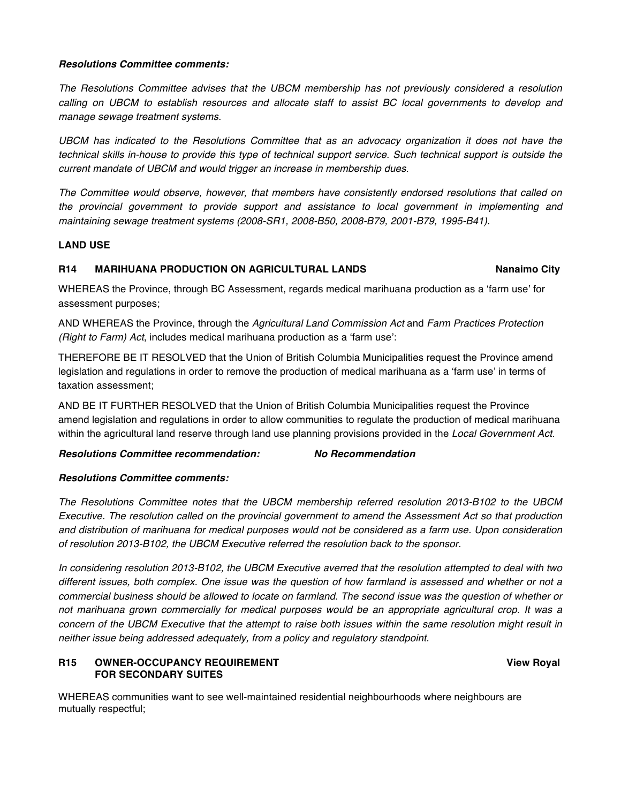# *Resolutions Committee comments:*

*The Resolutions Committee advises that the UBCM membership has not previously considered a resolution calling on UBCM to establish resources and allocate staff to assist BC local governments to develop and manage sewage treatment systems.*

*UBCM has indicated to the Resolutions Committee that as an advocacy organization it does not have the technical skills in-house to provide this type of technical support service. Such technical support is outside the current mandate of UBCM and would trigger an increase in membership dues.*

*The Committee would observe, however, that members have consistently endorsed resolutions that called on the provincial government to provide support and assistance to local government in implementing and maintaining sewage treatment systems (2008-SR1, 2008-B50, 2008-B79, 2001-B79, 1995-B41).*

# **LAND USE**

# **R14 MARIHUANA PRODUCTION ON AGRICULTURAL LANDS Nanaimo City**

WHEREAS the Province, through BC Assessment, regards medical marihuana production as a 'farm use' for assessment purposes;

AND WHEREAS the Province, through the *Agricultural Land Commission Act* and *Farm Practices Protection (Right to Farm) Act*, includes medical marihuana production as a 'farm use':

THEREFORE BE IT RESOLVED that the Union of British Columbia Municipalities request the Province amend legislation and regulations in order to remove the production of medical marihuana as a 'farm use' in terms of taxation assessment;

AND BE IT FURTHER RESOLVED that the Union of British Columbia Municipalities request the Province amend legislation and regulations in order to allow communities to regulate the production of medical marihuana within the agricultural land reserve through land use planning provisions provided in the *Local Government Act*.

# *Resolutions Committee recommendation: No Recommendation*

# *Resolutions Committee comments:*

*The Resolutions Committee notes that the UBCM membership referred resolution 2013-B102 to the UBCM Executive. The resolution called on the provincial government to amend the Assessment Act so that production and distribution of marihuana for medical purposes would not be considered as a farm use. Upon consideration of resolution 2013-B102, the UBCM Executive referred the resolution back to the sponsor.*

*In considering resolution 2013-B102, the UBCM Executive averred that the resolution attempted to deal with two different issues, both complex. One issue was the question of how farmland is assessed and whether or not a commercial business should be allowed to locate on farmland. The second issue was the question of whether or not marihuana grown commercially for medical purposes would be an appropriate agricultural crop. It was a concern of the UBCM Executive that the attempt to raise both issues within the same resolution might result in neither issue being addressed adequately, from a policy and regulatory standpoint.*

# **R15 OWNER-OCCUPANCY REQUIREMENT VIEW ROYAL CONSUMING A REGION CONSUMING WAS A REGION OF A REGION OF A REGION CONSUMING A REGION OF A REGION OF A REGION OF A REGION OF A REGION OF A REGION OF A REGION OF A REGION OF A REGI FOR SECONDARY SUITES**

WHEREAS communities want to see well-maintained residential neighbourhoods where neighbours are mutually respectful;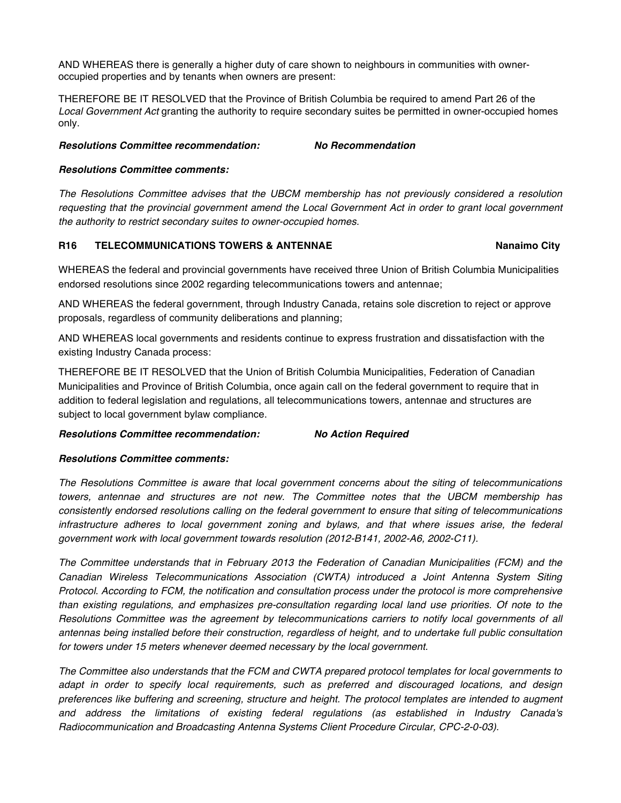AND WHEREAS there is generally a higher duty of care shown to neighbours in communities with owneroccupied properties and by tenants when owners are present:

THEREFORE BE IT RESOLVED that the Province of British Columbia be required to amend Part 26 of the *Local Government Act* granting the authority to require secondary suites be permitted in owner-occupied homes only.

# *Resolutions Committee recommendation: No Recommendation*

# *Resolutions Committee comments:*

*The Resolutions Committee advises that the UBCM membership has not previously considered a resolution requesting that the provincial government amend the Local Government Act in order to grant local government the authority to restrict secondary suites to owner-occupied homes.*

# **R16 TELECOMMUNICATIONS TOWERS & ANTENNAE Nanaimo City**

# WHEREAS the federal and provincial governments have received three Union of British Columbia Municipalities endorsed resolutions since 2002 regarding telecommunications towers and antennae;

AND WHEREAS the federal government, through Industry Canada, retains sole discretion to reject or approve proposals, regardless of community deliberations and planning;

AND WHEREAS local governments and residents continue to express frustration and dissatisfaction with the existing Industry Canada process:

THEREFORE BE IT RESOLVED that the Union of British Columbia Municipalities, Federation of Canadian Municipalities and Province of British Columbia, once again call on the federal government to require that in addition to federal legislation and regulations, all telecommunications towers, antennae and structures are subject to local government bylaw compliance.

*Resolutions Committee recommendation: No Action Required*

# *Resolutions Committee comments:*

*The Resolutions Committee is aware that local government concerns about the siting of telecommunications towers, antennae and structures are not new. The Committee notes that the UBCM membership has consistently endorsed resolutions calling on the federal government to ensure that siting of telecommunications*  infrastructure adheres to local government zoning and bylaws, and that where issues arise, the federal *government work with local government towards resolution (2012-B141, 2002-A6, 2002-C11).*

*The Committee understands that in February 2013 the Federation of Canadian Municipalities (FCM) and the Canadian Wireless Telecommunications Association (CWTA) introduced a Joint Antenna System Siting Protocol. According to FCM, the notification and consultation process under the protocol is more comprehensive than existing regulations, and emphasizes pre-consultation regarding local land use priorities. Of note to the Resolutions Committee was the agreement by telecommunications carriers to notify local governments of all antennas being installed before their construction, regardless of height, and to undertake full public consultation for towers under 15 meters whenever deemed necessary by the local government.*

*The Committee also understands that the FCM and CWTA prepared protocol templates for local governments to adapt in order to specify local requirements, such as preferred and discouraged locations, and design preferences like buffering and screening, structure and height. The protocol templates are intended to augment and address the limitations of existing federal regulations (as established in Industry Canada's Radiocommunication and Broadcasting Antenna Systems Client Procedure Circular, CPC-2-0-03).*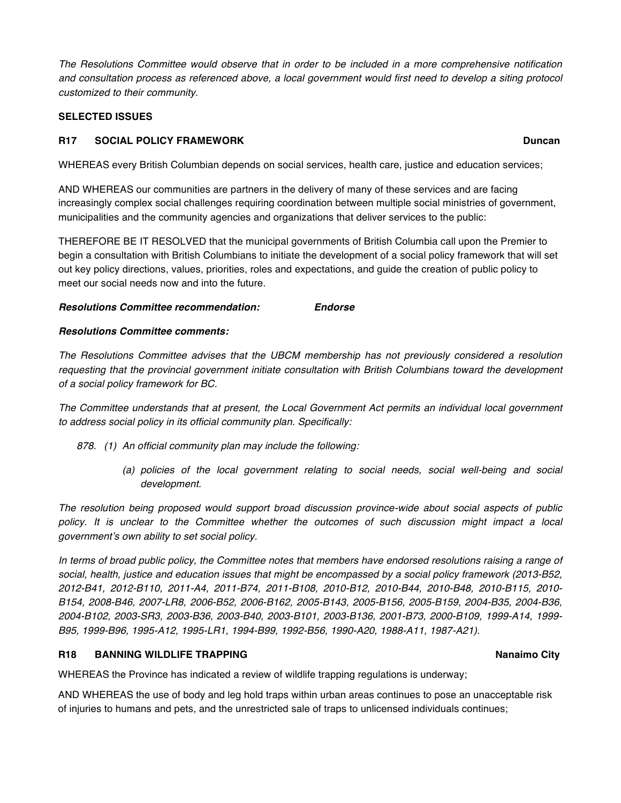*The Resolutions Committee would observe that in order to be included in a more comprehensive notification and consultation process as referenced above, a local government would first need to develop a siting protocol customized to their community.*

# **SELECTED ISSUES**

# **R17 SOCIAL POLICY FRAMEWORK Duncan**

WHEREAS every British Columbian depends on social services, health care, justice and education services;

AND WHEREAS our communities are partners in the delivery of many of these services and are facing increasingly complex social challenges requiring coordination between multiple social ministries of government, municipalities and the community agencies and organizations that deliver services to the public:

THEREFORE BE IT RESOLVED that the municipal governments of British Columbia call upon the Premier to begin a consultation with British Columbians to initiate the development of a social policy framework that will set out key policy directions, values, priorities, roles and expectations, and guide the creation of public policy to meet our social needs now and into the future.

# *Resolutions Committee recommendation: Endorse*

# *Resolutions Committee comments:*

*The Resolutions Committee advises that the UBCM membership has not previously considered a resolution requesting that the provincial government initiate consultation with British Columbians toward the development of a social policy framework for BC.*

*The Committee understands that at present, the Local Government Act permits an individual local government to address social policy in its official community plan. Specifically:*

- *878. (1) An official community plan may include the following:*
	- *(a) policies of the local government relating to social needs, social well-being and social development.*

*The resolution being proposed would support broad discussion province-wide about social aspects of public policy. It is unclear to the Committee whether the outcomes of such discussion might impact a local government's own ability to set social policy.*

*In terms of broad public policy, the Committee notes that members have endorsed resolutions raising a range of social, health, justice and education issues that might be encompassed by a social policy framework (2013-B52, 2012-B41, 2012-B110, 2011-A4, 2011-B74, 2011-B108, 2010-B12, 2010-B44, 2010-B48, 2010-B115, 2010- B154, 2008-B46, 2007-LR8, 2006-B52, 2006-B162, 2005-B143, 2005-B156, 2005-B159, 2004-B35, 2004-B36, 2004-B102, 2003-SR3, 2003-B36, 2003-B40, 2003-B101, 2003-B136, 2001-B73, 2000-B109, 1999-A14, 1999- B95, 1999-B96, 1995-A12, 1995-LR1, 1994-B99, 1992-B56, 1990-A20, 1988-A11, 1987-A21).*

# **R18 BANNING WILDLIFE TRAPPING Nanaimo City**

WHEREAS the Province has indicated a review of wildlife trapping regulations is underway;

AND WHEREAS the use of body and leg hold traps within urban areas continues to pose an unacceptable risk of injuries to humans and pets, and the unrestricted sale of traps to unlicensed individuals continues;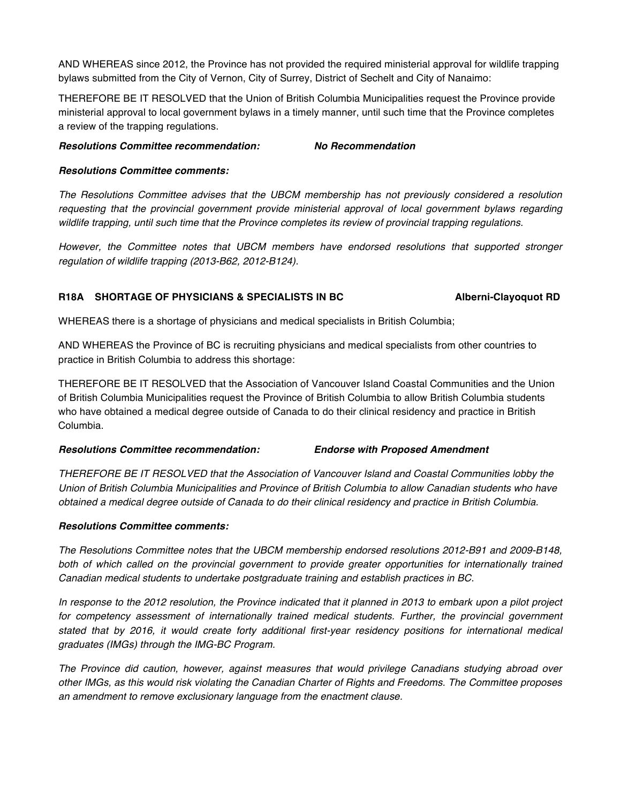AND WHEREAS since 2012, the Province has not provided the required ministerial approval for wildlife trapping bylaws submitted from the City of Vernon, City of Surrey, District of Sechelt and City of Nanaimo:

THEREFORE BE IT RESOLVED that the Union of British Columbia Municipalities request the Province provide ministerial approval to local government bylaws in a timely manner, until such time that the Province completes a review of the trapping regulations.

# *Resolutions Committee recommendation: No Recommendation*

# *Resolutions Committee comments:*

*The Resolutions Committee advises that the UBCM membership has not previously considered a resolution requesting that the provincial government provide ministerial approval of local government bylaws regarding wildlife trapping, until such time that the Province completes its review of provincial trapping regulations.*

*However, the Committee notes that UBCM members have endorsed resolutions that supported stronger regulation of wildlife trapping (2013-B62, 2012-B124).*

# **R18A SHORTAGE OF PHYSICIANS & SPECIALISTS IN BC Alberni-Clayoquot RD**

WHEREAS there is a shortage of physicians and medical specialists in British Columbia;

AND WHEREAS the Province of BC is recruiting physicians and medical specialists from other countries to practice in British Columbia to address this shortage:

THEREFORE BE IT RESOLVED that the Association of Vancouver Island Coastal Communities and the Union of British Columbia Municipalities request the Province of British Columbia to allow British Columbia students who have obtained a medical degree outside of Canada to do their clinical residency and practice in British Columbia.

# *Resolutions Committee recommendation: Endorse with Proposed Amendment*

*THEREFORE BE IT RESOLVED that the Association of Vancouver Island and Coastal Communities lobby the Union of British Columbia Municipalities and Province of British Columbia to allow Canadian students who have obtained a medical degree outside of Canada to do their clinical residency and practice in British Columbia.*

# *Resolutions Committee comments:*

*The Resolutions Committee notes that the UBCM membership endorsed resolutions 2012-B91 and 2009-B148,*  both of which called on the provincial government to provide greater opportunities for internationally trained *Canadian medical students to undertake postgraduate training and establish practices in BC.*

*In response to the 2012 resolution, the Province indicated that it planned in 2013 to embark upon a pilot project for competency assessment of internationally trained medical students. Further, the provincial government stated that by 2016, it would create forty additional first-year residency positions for international medical graduates (IMGs) through the IMG-BC Program.* 

*The Province did caution, however, against measures that would privilege Canadians studying abroad over other IMGs, as this would risk violating the Canadian Charter of Rights and Freedoms. The Committee proposes an amendment to remove exclusionary language from the enactment clause.*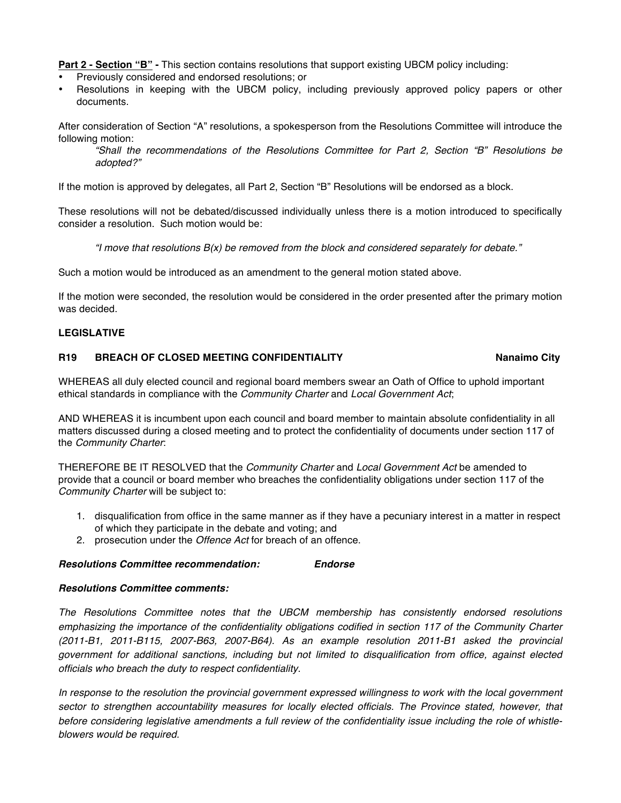**Part 2 - Section "B" -** This section contains resolutions that support existing UBCM policy including:

- Previously considered and endorsed resolutions; or
- Resolutions in keeping with the UBCM policy, including previously approved policy papers or other documents.

After consideration of Section "A" resolutions, a spokesperson from the Resolutions Committee will introduce the following motion:

*"Shall the recommendations of the Resolutions Committee for Part 2, Section "B" Resolutions be adopted?"*

If the motion is approved by delegates, all Part 2, Section "B" Resolutions will be endorsed as a block.

These resolutions will not be debated/discussed individually unless there is a motion introduced to specifically consider a resolution. Such motion would be:

*"I move that resolutions B(x) be removed from the block and considered separately for debate."*

Such a motion would be introduced as an amendment to the general motion stated above.

If the motion were seconded, the resolution would be considered in the order presented after the primary motion was decided.

## **LEGISLATIVE**

# **R19 BREACH OF CLOSED MEETING CONFIDENTIALITY Nanaimo City**

WHEREAS all duly elected council and regional board members swear an Oath of Office to uphold important ethical standards in compliance with the *Community Charter* and *Local Government Act*;

AND WHEREAS it is incumbent upon each council and board member to maintain absolute confidentiality in all matters discussed during a closed meeting and to protect the confidentiality of documents under section 117 of the *Community Charter*:

THEREFORE BE IT RESOLVED that the *Community Charter* and *Local Government Act* be amended to provide that a council or board member who breaches the confidentiality obligations under section 117 of the *Community Charter* will be subject to:

- 1. disqualification from office in the same manner as if they have a pecuniary interest in a matter in respect of which they participate in the debate and voting; and
- 2. prosecution under the *Offence Act* for breach of an offence.

# *Resolutions Committee recommendation: Endorse*

# *Resolutions Committee comments:*

*The Resolutions Committee notes that the UBCM membership has consistently endorsed resolutions*  emphasizing the importance of the confidentiality obligations codified in section 117 of the Community Charter *(2011-B1, 2011-B115, 2007-B63, 2007-B64). As an example resolution 2011-B1 asked the provincial government for additional sanctions, including but not limited to disqualification from office, against elected officials who breach the duty to respect confidentiality.* 

In response to the resolution the provincial government expressed willingness to work with the local government sector to strengthen accountability measures for locally elected officials. The Province stated, however, that *before considering legislative amendments a full review of the confidentiality issue including the role of whistleblowers would be required.*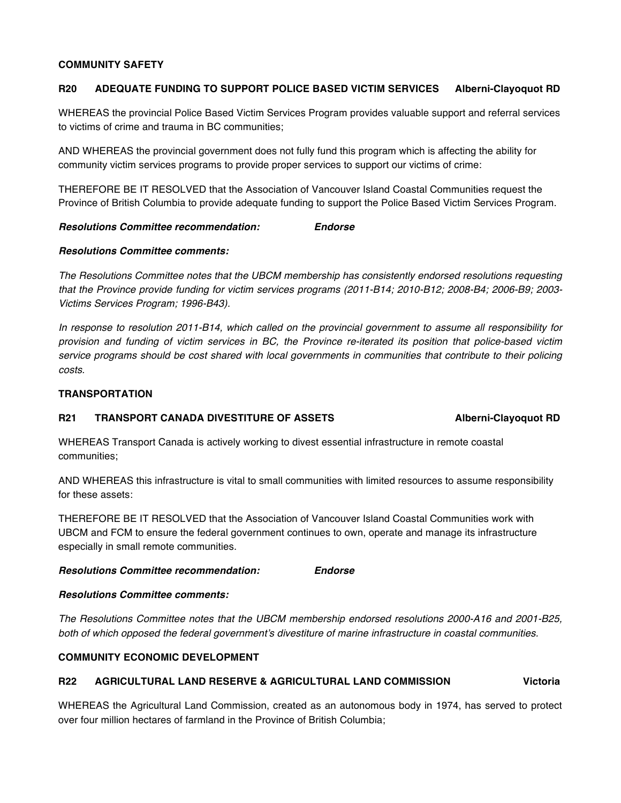# **COMMUNITY SAFETY**

# **R20 ADEQUATE FUNDING TO SUPPORT POLICE BASED VICTIM SERVICES Alberni-Clayoquot RD**

WHEREAS the provincial Police Based Victim Services Program provides valuable support and referral services to victims of crime and trauma in BC communities;

AND WHEREAS the provincial government does not fully fund this program which is affecting the ability for community victim services programs to provide proper services to support our victims of crime:

THEREFORE BE IT RESOLVED that the Association of Vancouver Island Coastal Communities request the Province of British Columbia to provide adequate funding to support the Police Based Victim Services Program.

## *Resolutions Committee recommendation: Endorse*

# *Resolutions Committee comments:*

*The Resolutions Committee notes that the UBCM membership has consistently endorsed resolutions requesting that the Province provide funding for victim services programs (2011-B14; 2010-B12; 2008-B4; 2006-B9; 2003- Victims Services Program; 1996-B43).*

*In response to resolution 2011-B14, which called on the provincial government to assume all responsibility for provision and funding of victim services in BC, the Province re-iterated its position that police-based victim service programs should be cost shared with local governments in communities that contribute to their policing costs.*

# **TRANSPORTATION**

# **R21 TRANSPORT CANADA DIVESTITURE OF ASSETS Alberni-Clayoquot RD**

WHEREAS Transport Canada is actively working to divest essential infrastructure in remote coastal communities;

AND WHEREAS this infrastructure is vital to small communities with limited resources to assume responsibility for these assets:

THEREFORE BE IT RESOLVED that the Association of Vancouver Island Coastal Communities work with UBCM and FCM to ensure the federal government continues to own, operate and manage its infrastructure especially in small remote communities.

# *Resolutions Committee recommendation: Endorse*

# *Resolutions Committee comments:*

*The Resolutions Committee notes that the UBCM membership endorsed resolutions 2000-A16 and 2001-B25, both of which opposed the federal government's divestiture of marine infrastructure in coastal communities.*

# **COMMUNITY ECONOMIC DEVELOPMENT**

# **R22 AGRICULTURAL LAND RESERVE & AGRICULTURAL LAND COMMISSION Victoria**

WHEREAS the Agricultural Land Commission, created as an autonomous body in 1974, has served to protect over four million hectares of farmland in the Province of British Columbia;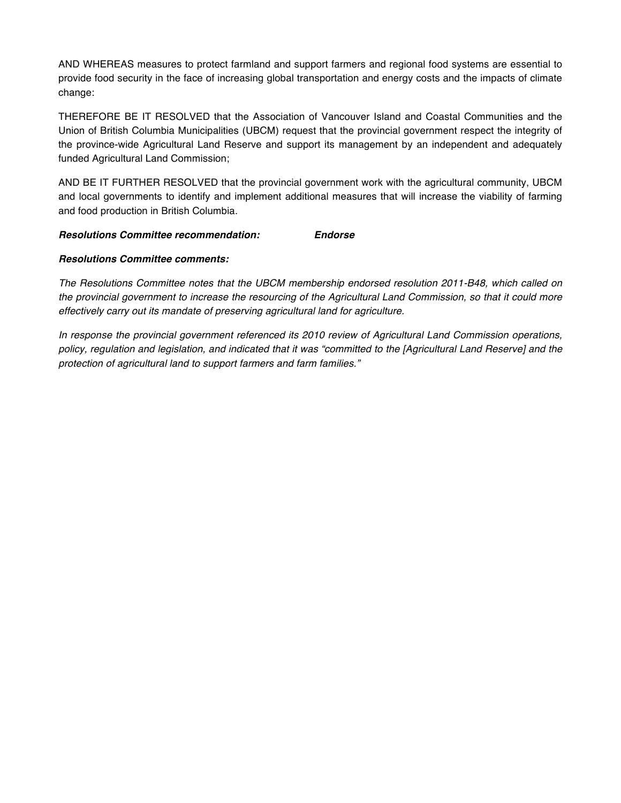AND WHEREAS measures to protect farmland and support farmers and regional food systems are essential to provide food security in the face of increasing global transportation and energy costs and the impacts of climate change:

THEREFORE BE IT RESOLVED that the Association of Vancouver Island and Coastal Communities and the Union of British Columbia Municipalities (UBCM) request that the provincial government respect the integrity of the province-wide Agricultural Land Reserve and support its management by an independent and adequately funded Agricultural Land Commission;

AND BE IT FURTHER RESOLVED that the provincial government work with the agricultural community, UBCM and local governments to identify and implement additional measures that will increase the viability of farming and food production in British Columbia.

# *Resolutions Committee recommendation: Endorse*

# *Resolutions Committee comments:*

*The Resolutions Committee notes that the UBCM membership endorsed resolution 2011-B48, which called on the provincial government to increase the resourcing of the Agricultural Land Commission, so that it could more effectively carry out its mandate of preserving agricultural land for agriculture.*

*In response the provincial government referenced its 2010 review of Agricultural Land Commission operations,*  policy, regulation and legislation, and indicated that it was "committed to the [Agricultural Land Reserve] and the *protection of agricultural land to support farmers and farm families."*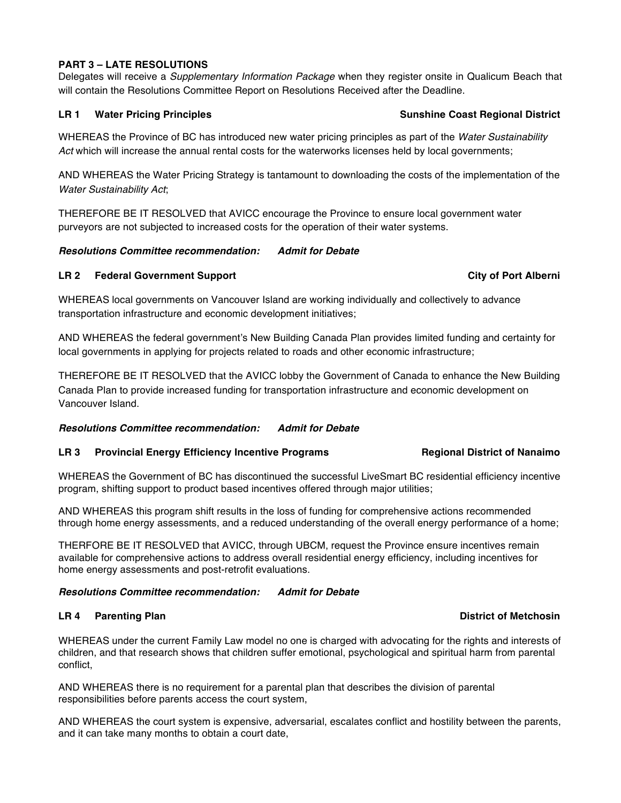# **PART 3 – LATE RESOLUTIONS**

Delegates will receive a *Supplementary Information Package* when they register onsite in Qualicum Beach that will contain the Resolutions Committee Report on Resolutions Received after the Deadline.

WHEREAS the Province of BC has introduced new water pricing principles as part of the *Water Sustainability Act* which will increase the annual rental costs for the waterworks licenses held by local governments;

AND WHEREAS the Water Pricing Strategy is tantamount to downloading the costs of the implementation of the *Water Sustainability Act*;

THEREFORE BE IT RESOLVED that AVICC encourage the Province to ensure local government water purveyors are not subjected to increased costs for the operation of their water systems.

# *Resolutions Committee recommendation: Admit for Debate*

# **LR 2 Federal Government Support City of Port Alberni**

WHEREAS local governments on Vancouver Island are working individually and collectively to advance transportation infrastructure and economic development initiatives;

AND WHEREAS the federal government's New Building Canada Plan provides limited funding and certainty for local governments in applying for projects related to roads and other economic infrastructure;

THEREFORE BE IT RESOLVED that the AVICC lobby the Government of Canada to enhance the New Building Canada Plan to provide increased funding for transportation infrastructure and economic development on Vancouver Island.

# *Resolutions Committee recommendation: Admit for Debate*

# **LR 3 Provincial Energy Efficiency Incentive Programs Regional District of Nanaimo**

WHEREAS the Government of BC has discontinued the successful LiveSmart BC residential efficiency incentive program, shifting support to product based incentives offered through major utilities;

AND WHEREAS this program shift results in the loss of funding for comprehensive actions recommended through home energy assessments, and a reduced understanding of the overall energy performance of a home;

THERFORE BE IT RESOLVED that AVICC, through UBCM, request the Province ensure incentives remain available for comprehensive actions to address overall residential energy efficiency, including incentives for home energy assessments and post-retrofit evaluations.

# *Resolutions Committee recommendation: Admit for Debate*

# **LR** 4 **Parenting Plan District of Metchosin**

WHEREAS under the current Family Law model no one is charged with advocating for the rights and interests of children, and that research shows that children suffer emotional, psychological and spiritual harm from parental conflict,

AND WHEREAS there is no requirement for a parental plan that describes the division of parental responsibilities before parents access the court system,

AND WHEREAS the court system is expensive, adversarial, escalates conflict and hostility between the parents, and it can take many months to obtain a court date,

# **LR 1 Water Pricing Principles Sunshine Coast Regional District**